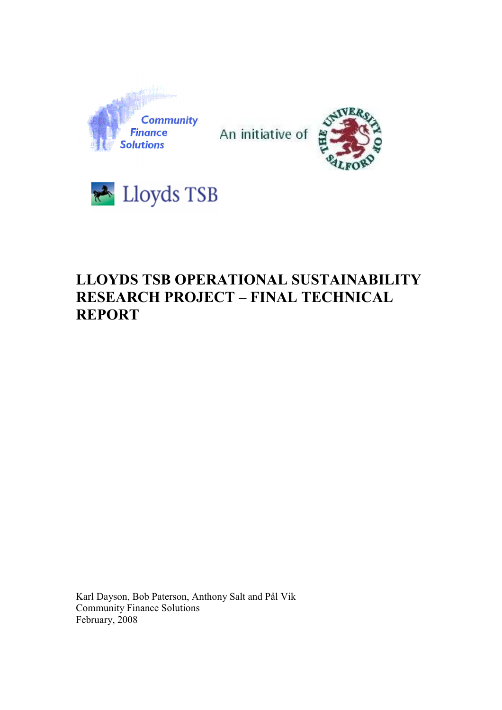

An initiative of





# LLOYDS TSB OPERATIONAL SUSTAINABILITY RESEARCH PROJECT – FINAL TECHNICAL REPORT

Karl Dayson, Bob Paterson, Anthony Salt and Pål Vik Community Finance Solutions February, 2008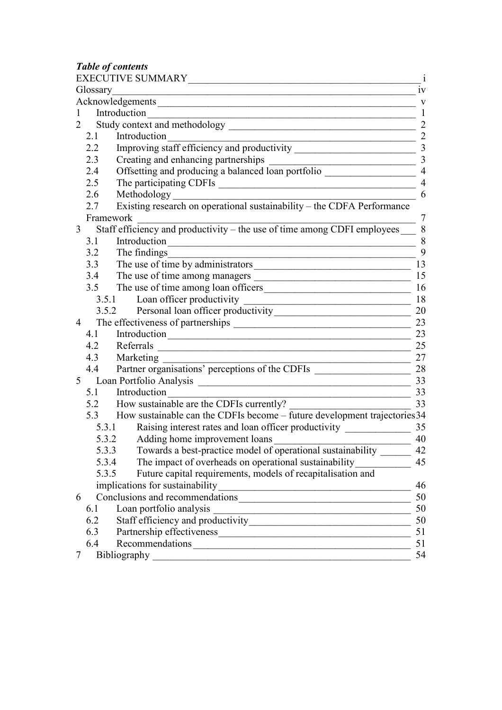Table of contents

|                |                                                                                                                                                   | 1V             |
|----------------|---------------------------------------------------------------------------------------------------------------------------------------------------|----------------|
|                |                                                                                                                                                   | V              |
| 1              | Introduction<br><u> 1989 - Johann John Stoff, deutscher Stoffen und der Stoffen und der Stoffen und der Stoffen und der Stoffen</u>               | 1              |
| $\overline{2}$ |                                                                                                                                                   | $\overline{2}$ |
|                | Introduction<br>2.1<br><u> 1989 - Johann Barn, mars ann an t-Amhain Aonaich an t-Aonaich an t-Aonaich ann an t-Aonaich ann an t-Aonaich</u>       | $\overline{2}$ |
| 2.2            |                                                                                                                                                   | $\overline{3}$ |
|                | 2.3                                                                                                                                               |                |
| 2.4            |                                                                                                                                                   |                |
| 2.5            | The participating CDFIs<br><u> 1989 - Johann Barn, mars ann an t-Amhain an t-Amhain an t-Amhain an t-Amhain an t-Amhain an t-Amhain an t-Amh</u>  |                |
|                | Methodology<br>Existing research on operational sustainability – the CDFA Performance<br>2.6                                                      | 6              |
| 2.7            |                                                                                                                                                   |                |
|                | Framework                                                                                                                                         | 7              |
| 3 <sup>7</sup> | Staff efficiency and productivity – the use of time among CDFI employees                                                                          | 8              |
| 3.1            | Introduction                                                                                                                                      | 8              |
|                | The findings<br>3.2<br><u> 1989 - Johann Barbara, martin amerikan basar da</u>                                                                    | 9              |
|                | The use of time by administrators<br>3.3                                                                                                          | 13             |
|                | 3.4                                                                                                                                               | 15             |
|                |                                                                                                                                                   | 16             |
|                | 3.5.1 Loan officer productivity<br><u> 1989 - Johann Barn, fransk politik (</u>                                                                   | 18             |
|                | 3.5.2 Personal loan officer productivity 20                                                                                                       |                |
| $\overline{4}$ |                                                                                                                                                   | 23             |
|                | 4.1                                                                                                                                               | 23             |
| 4.2            | Referrals 25                                                                                                                                      |                |
|                | 4.3<br>Marketing<br><u> 1989 - Johann Barn, fransk politik amerikansk politik (</u>                                                               | 27             |
| 4.4            | Partner organisations' perceptions of the CDFIs ________________________________                                                                  | 28             |
| 5 <sup>5</sup> |                                                                                                                                                   | 33             |
|                | Introduction<br>5.1                                                                                                                               | 33             |
|                | 5.2 How sustainable are the CDFIs currently?                                                                                                      | 33             |
|                |                                                                                                                                                   |                |
|                | 5.3.1                                                                                                                                             |                |
|                | 5.3.2<br>Adding home improvement loans                                                                                                            | 40             |
|                | Towards a best-practice model of operational sustainability<br>5.3.3                                                                              | 42             |
|                | The impact of overheads on operational sustainability<br>5.3.4                                                                                    | 45             |
|                | Future capital requirements, models of recapitalisation and<br>5.3.5                                                                              |                |
|                | implications for sustainability<br><u> 1989 - Johann Stein, mars an deus Amerikaansk kommunister (</u>                                            | 46             |
| 6              |                                                                                                                                                   | 50             |
| 6.1            | Loan portfolio analysis<br><u> 1989 - Johann Barn, mars ann an t-Amhair an t-Amhair ann an t-Amhair an t-Amhair an t-Amhair an t-Amhair an t-</u> | 50             |
| 6.2            |                                                                                                                                                   | 50             |
| 6.3            |                                                                                                                                                   | 51             |
| 6.4            | Recommendations                                                                                                                                   | 51             |
| 7              | Bibliography                                                                                                                                      | 54             |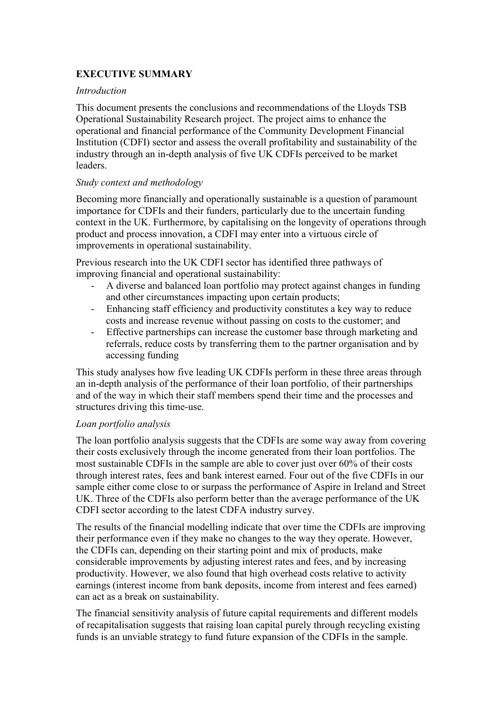# EXECUTIVE SUMMARY

#### Introduction

This document presents the conclusions and recommendations of the Lloyds TSB Operational Sustainability Research project. The project aims to enhance the operational and financial performance of the Community Development Financial Institution (CDFI) sector and assess the overall profitability and sustainability of the industry through an in-depth analysis of five UK CDFIs perceived to be market leaders.

#### Study context and methodology

Becoming more financially and operationally sustainable is a question of paramount importance for CDFIs and their funders, particularly due to the uncertain funding context in the UK. Furthermore, by capitalising on the longevity of operations through product and process innovation, a CDFI may enter into a virtuous circle of improvements in operational sustainability.

Previous research into the UK CDFI sector has identified three pathways of improving financial and operational sustainability:

- A diverse and balanced loan portfolio may protect against changes in funding and other circumstances impacting upon certain products;
- Enhancing staff efficiency and productivity constitutes a key way to reduce costs and increase revenue without passing on costs to the customer; and
- Effective partnerships can increase the customer base through marketing and referrals, reduce costs by transferring them to the partner organisation and by accessing funding

This study analyses how five leading UK CDFIs perform in these three areas through an in-depth analysis of the performance of their loan portfolio, of their partnerships and of the way in which their staff members spend their time and the processes and structures driving this time-use.

#### Loan portfolio analysis

The loan portfolio analysis suggests that the CDFIs are some way away from covering their costs exclusively through the income generated from their loan portfolios. The most sustainable CDFIs in the sample are able to cover just over 60% of their costs through interest rates, fees and bank interest earned. Four out of the five CDFIs in our sample either come close to or surpass the performance of Aspire in Ireland and Street UK. Three of the CDFIs also perform better than the average performance of the UK CDFI sector according to the latest CDFA industry survey.

The results of the financial modelling indicate that over time the CDFIs are improving their performance even if they make no changes to the way they operate. However, the CDFIs can, depending on their starting point and mix of products, make considerable improvements by adjusting interest rates and fees, and by increasing productivity. However, we also found that high overhead costs relative to activity earnings (interest income from bank deposits, income from interest and fees earned) can act as a break on sustainability.

The financial sensitivity analysis of future capital requirements and different models of recapitalisation suggests that raising loan capital purely through recycling existing funds is an unviable strategy to fund future expansion of the CDFIs in the sample.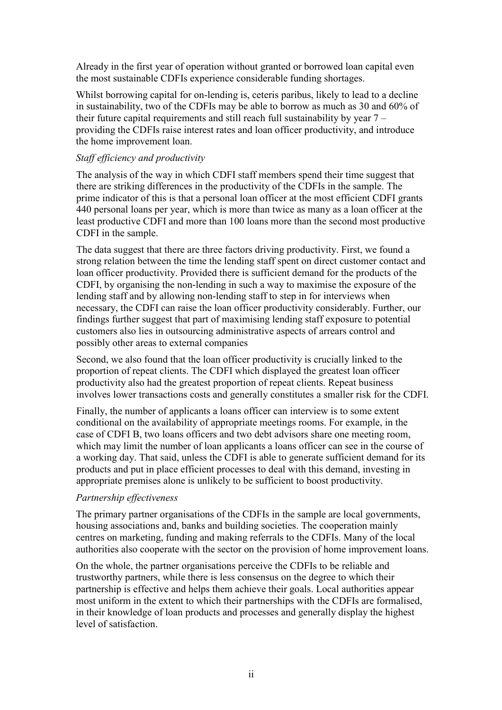Already in the first year of operation without granted or borrowed loan capital even the most sustainable CDFIs experience considerable funding shortages.

Whilst borrowing capital for on-lending is, ceteris paribus, likely to lead to a decline in sustainability, two of the CDFIs may be able to borrow as much as 30 and 60% of their future capital requirements and still reach full sustainability by year  $7$ providing the CDFIs raise interest rates and loan officer productivity, and introduce the home improvement loan.

#### Staff efficiency and productivity

The analysis of the way in which CDFI staff members spend their time suggest that there are striking differences in the productivity of the CDFIs in the sample. The prime indicator of this is that a personal loan officer at the most efficient CDFI grants 440 personal loans per year, which is more than twice as many as a loan officer at the least productive CDFI and more than 100 loans more than the second most productive CDFI in the sample.

The data suggest that there are three factors driving productivity. First, we found a strong relation between the time the lending staff spent on direct customer contact and loan officer productivity. Provided there is sufficient demand for the products of the CDFI, by organising the non-lending in such a way to maximise the exposure of the lending staff and by allowing non-lending staff to step in for interviews when necessary, the CDFI can raise the loan officer productivity considerably. Further, our findings further suggest that part of maximising lending staff exposure to potential customers also lies in outsourcing administrative aspects of arrears control and possibly other areas to external companies

Second, we also found that the loan officer productivity is crucially linked to the proportion of repeat clients. The CDFI which displayed the greatest loan officer productivity also had the greatest proportion of repeat clients. Repeat business involves lower transactions costs and generally constitutes a smaller risk for the CDFI.

Finally, the number of applicants a loans officer can interview is to some extent conditional on the availability of appropriate meetings rooms. For example, in the case of CDFI B, two loans officers and two debt advisors share one meeting room, which may limit the number of loan applicants a loans officer can see in the course of a working day. That said, unless the CDFI is able to generate sufficient demand for its products and put in place efficient processes to deal with this demand, investing in appropriate premises alone is unlikely to be sufficient to boost productivity.

#### Partnership effectiveness

The primary partner organisations of the CDFIs in the sample are local governments, housing associations and, banks and building societies. The cooperation mainly centres on marketing, funding and making referrals to the CDFIs. Many of the local authorities also cooperate with the sector on the provision of home improvement loans.

On the whole, the partner organisations perceive the CDFIs to be reliable and trustworthy partners, while there is less consensus on the degree to which their partnership is effective and helps them achieve their goals. Local authorities appear most uniform in the extent to which their partnerships with the CDFIs are formalised, in their knowledge of loan products and processes and generally display the highest level of satisfaction.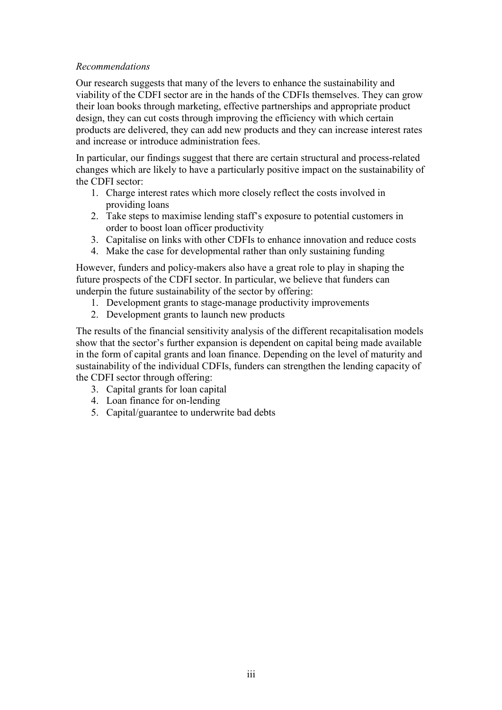#### Recommendations

Our research suggests that many of the levers to enhance the sustainability and viability of the CDFI sector are in the hands of the CDFIs themselves. They can grow their loan books through marketing, effective partnerships and appropriate product design, they can cut costs through improving the efficiency with which certain products are delivered, they can add new products and they can increase interest rates and increase or introduce administration fees.

In particular, our findings suggest that there are certain structural and process-related changes which are likely to have a particularly positive impact on the sustainability of the CDFI sector:

- 1. Charge interest rates which more closely reflect the costs involved in providing loans
- 2. Take steps to maximise lending staff's exposure to potential customers in order to boost loan officer productivity
- 3. Capitalise on links with other CDFIs to enhance innovation and reduce costs
- 4. Make the case for developmental rather than only sustaining funding

However, funders and policy-makers also have a great role to play in shaping the future prospects of the CDFI sector. In particular, we believe that funders can underpin the future sustainability of the sector by offering:

- 1. Development grants to stage-manage productivity improvements
- 2. Development grants to launch new products

The results of the financial sensitivity analysis of the different recapitalisation models show that the sector's further expansion is dependent on capital being made available in the form of capital grants and loan finance. Depending on the level of maturity and sustainability of the individual CDFIs, funders can strengthen the lending capacity of the CDFI sector through offering:

- 3. Capital grants for loan capital
- 4. Loan finance for on-lending
- 5. Capital/guarantee to underwrite bad debts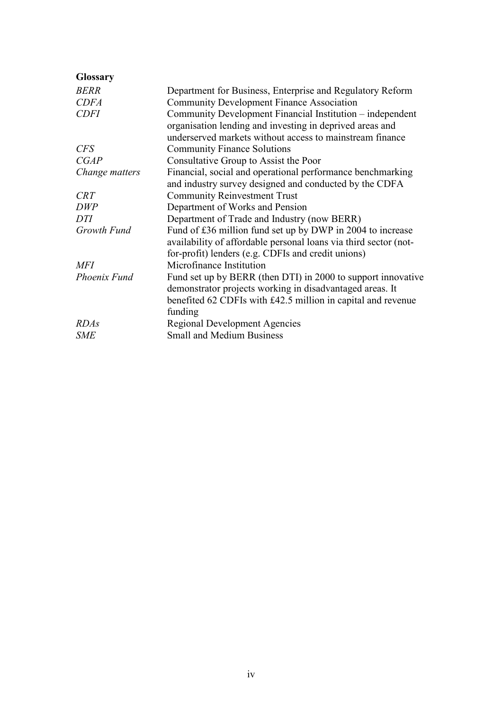| <b>Glossary</b> |                                                                                                                                                                                                     |
|-----------------|-----------------------------------------------------------------------------------------------------------------------------------------------------------------------------------------------------|
| <b>BERR</b>     | Department for Business, Enterprise and Regulatory Reform                                                                                                                                           |
| <b>CDFA</b>     | <b>Community Development Finance Association</b>                                                                                                                                                    |
| <b>CDFI</b>     | Community Development Financial Institution – independent<br>organisation lending and investing in deprived areas and<br>underserved markets without access to mainstream finance                   |
| <b>CFS</b>      | <b>Community Finance Solutions</b>                                                                                                                                                                  |
| CGAP            | Consultative Group to Assist the Poor                                                                                                                                                               |
| Change matters  | Financial, social and operational performance benchmarking<br>and industry survey designed and conducted by the CDFA                                                                                |
| <b>CRT</b>      | <b>Community Reinvestment Trust</b>                                                                                                                                                                 |
| DWP             | Department of Works and Pension                                                                                                                                                                     |
| DTI             | Department of Trade and Industry (now BERR)                                                                                                                                                         |
| Growth Fund     | Fund of £36 million fund set up by DWP in 2004 to increase<br>availability of affordable personal loans via third sector (not-<br>for-profit) lenders (e.g. CDFIs and credit unions)                |
| <b>MFI</b>      | Microfinance Institution                                                                                                                                                                            |
| Phoenix Fund    | Fund set up by BERR (then DTI) in 2000 to support innovative<br>demonstrator projects working in disadvantaged areas. It<br>benefited 62 CDFIs with £42.5 million in capital and revenue<br>funding |
| <b>RDAs</b>     | <b>Regional Development Agencies</b>                                                                                                                                                                |
| <b>SME</b>      | <b>Small and Medium Business</b>                                                                                                                                                                    |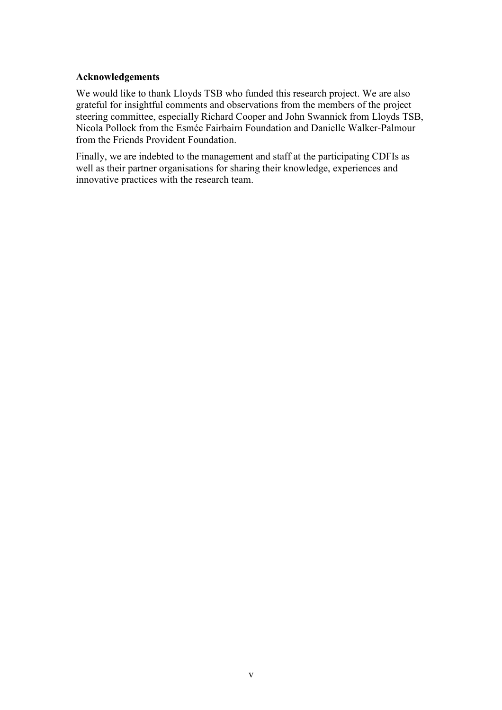#### Acknowledgements

We would like to thank Lloyds TSB who funded this research project. We are also grateful for insightful comments and observations from the members of the project steering committee, especially Richard Cooper and John Swannick from Lloyds TSB, Nicola Pollock from the Esmée Fairbairn Foundation and Danielle Walker-Palmour from the Friends Provident Foundation.

Finally, we are indebted to the management and staff at the participating CDFIs as well as their partner organisations for sharing their knowledge, experiences and innovative practices with the research team.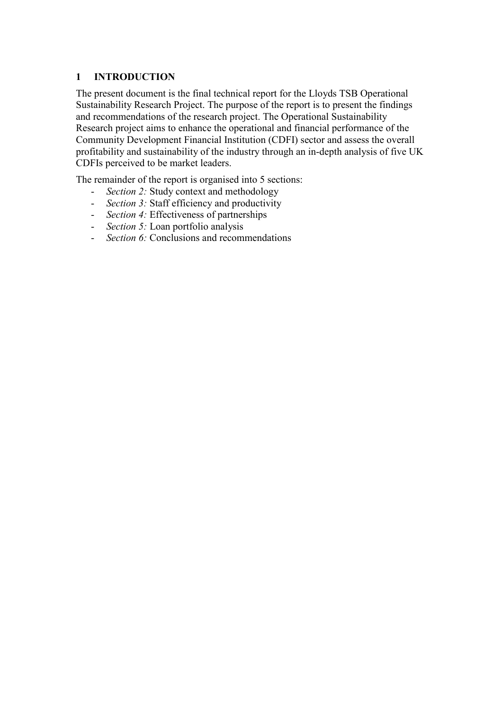# 1 INTRODUCTION

The present document is the final technical report for the Lloyds TSB Operational Sustainability Research Project. The purpose of the report is to present the findings and recommendations of the research project. The Operational Sustainability Research project aims to enhance the operational and financial performance of the Community Development Financial Institution (CDFI) sector and assess the overall profitability and sustainability of the industry through an in-depth analysis of five UK CDFIs perceived to be market leaders.

The remainder of the report is organised into 5 sections:

- *Section 2:* Study context and methodology
- Section 3: Staff efficiency and productivity
- *Section 4:* Effectiveness of partnerships
- *Section 5:* Loan portfolio analysis
- *Section 6:* Conclusions and recommendations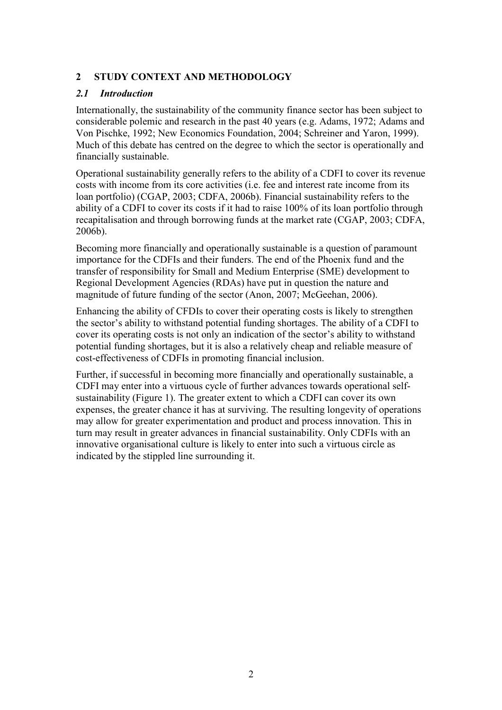# 2 STUDY CONTEXT AND METHODOLOGY

### 2.1 Introduction

Internationally, the sustainability of the community finance sector has been subject to considerable polemic and research in the past 40 years (e.g. Adams, 1972; Adams and Von Pischke, 1992; New Economics Foundation, 2004; Schreiner and Yaron, 1999). Much of this debate has centred on the degree to which the sector is operationally and financially sustainable.

Operational sustainability generally refers to the ability of a CDFI to cover its revenue costs with income from its core activities (i.e. fee and interest rate income from its loan portfolio) (CGAP, 2003; CDFA, 2006b). Financial sustainability refers to the ability of a CDFI to cover its costs if it had to raise 100% of its loan portfolio through recapitalisation and through borrowing funds at the market rate (CGAP, 2003; CDFA, 2006b).

Becoming more financially and operationally sustainable is a question of paramount importance for the CDFIs and their funders. The end of the Phoenix fund and the transfer of responsibility for Small and Medium Enterprise (SME) development to Regional Development Agencies (RDAs) have put in question the nature and magnitude of future funding of the sector (Anon, 2007; McGeehan, 2006).

Enhancing the ability of CFDIs to cover their operating costs is likely to strengthen the sector's ability to withstand potential funding shortages. The ability of a CDFI to cover its operating costs is not only an indication of the sector's ability to withstand potential funding shortages, but it is also a relatively cheap and reliable measure of cost-effectiveness of CDFIs in promoting financial inclusion.

Further, if successful in becoming more financially and operationally sustainable, a CDFI may enter into a virtuous cycle of further advances towards operational selfsustainability (Figure 1). The greater extent to which a CDFI can cover its own expenses, the greater chance it has at surviving. The resulting longevity of operations may allow for greater experimentation and product and process innovation. This in turn may result in greater advances in financial sustainability. Only CDFIs with an innovative organisational culture is likely to enter into such a virtuous circle as indicated by the stippled line surrounding it.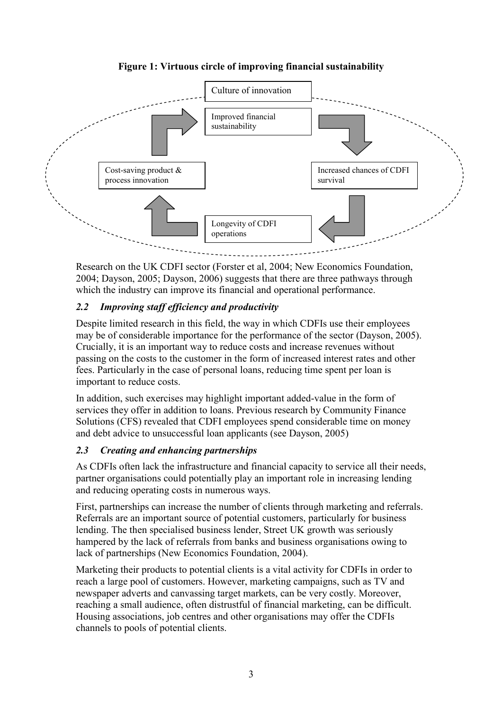

# Figure 1: Virtuous circle of improving financial sustainability

Research on the UK CDFI sector (Forster et al, 2004; New Economics Foundation, 2004; Dayson, 2005; Dayson, 2006) suggests that there are three pathways through which the industry can improve its financial and operational performance.

# 2.2 Improving staff efficiency and productivity

Despite limited research in this field, the way in which CDFIs use their employees may be of considerable importance for the performance of the sector (Dayson, 2005). Crucially, it is an important way to reduce costs and increase revenues without passing on the costs to the customer in the form of increased interest rates and other fees. Particularly in the case of personal loans, reducing time spent per loan is important to reduce costs.

In addition, such exercises may highlight important added-value in the form of services they offer in addition to loans. Previous research by Community Finance Solutions (CFS) revealed that CDFI employees spend considerable time on money and debt advice to unsuccessful loan applicants (see Dayson, 2005)

# 2.3 Creating and enhancing partnerships

As CDFIs often lack the infrastructure and financial capacity to service all their needs, partner organisations could potentially play an important role in increasing lending and reducing operating costs in numerous ways.

First, partnerships can increase the number of clients through marketing and referrals. Referrals are an important source of potential customers, particularly for business lending. The then specialised business lender, Street UK growth was seriously hampered by the lack of referrals from banks and business organisations owing to lack of partnerships (New Economics Foundation, 2004).

Marketing their products to potential clients is a vital activity for CDFIs in order to reach a large pool of customers. However, marketing campaigns, such as TV and newspaper adverts and canvassing target markets, can be very costly. Moreover, reaching a small audience, often distrustful of financial marketing, can be difficult. Housing associations, job centres and other organisations may offer the CDFIs channels to pools of potential clients.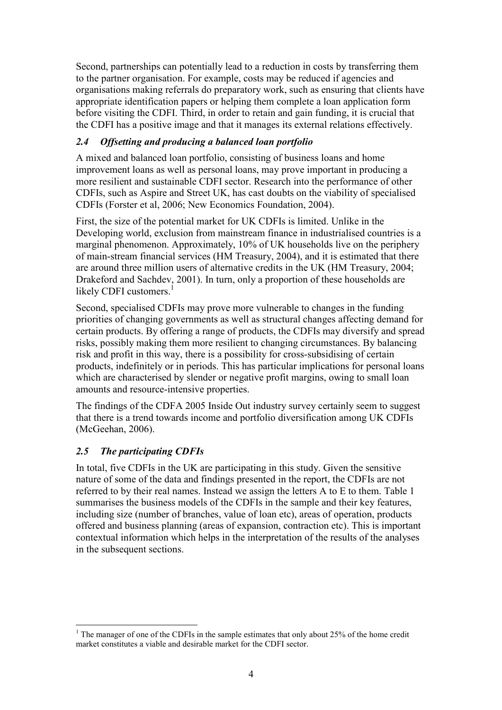Second, partnerships can potentially lead to a reduction in costs by transferring them to the partner organisation. For example, costs may be reduced if agencies and organisations making referrals do preparatory work, such as ensuring that clients have appropriate identification papers or helping them complete a loan application form before visiting the CDFI. Third, in order to retain and gain funding, it is crucial that the CDFI has a positive image and that it manages its external relations effectively.

# 2.4 Offsetting and producing a balanced loan portfolio

A mixed and balanced loan portfolio, consisting of business loans and home improvement loans as well as personal loans, may prove important in producing a more resilient and sustainable CDFI sector. Research into the performance of other CDFIs, such as Aspire and Street UK, has cast doubts on the viability of specialised CDFIs (Forster et al, 2006; New Economics Foundation, 2004).

First, the size of the potential market for UK CDFIs is limited. Unlike in the Developing world, exclusion from mainstream finance in industrialised countries is a marginal phenomenon. Approximately, 10% of UK households live on the periphery of main-stream financial services (HM Treasury, 2004), and it is estimated that there are around three million users of alternative credits in the UK (HM Treasury, 2004; Drakeford and Sachdev, 2001). In turn, only a proportion of these households are likely CDFI customers.

Second, specialised CDFIs may prove more vulnerable to changes in the funding priorities of changing governments as well as structural changes affecting demand for certain products. By offering a range of products, the CDFIs may diversify and spread risks, possibly making them more resilient to changing circumstances. By balancing risk and profit in this way, there is a possibility for cross-subsidising of certain products, indefinitely or in periods. This has particular implications for personal loans which are characterised by slender or negative profit margins, owing to small loan amounts and resource-intensive properties.

The findings of the CDFA 2005 Inside Out industry survey certainly seem to suggest that there is a trend towards income and portfolio diversification among UK CDFIs (McGeehan, 2006).

# 2.5 The participating CDFIs

In total, five CDFIs in the UK are participating in this study. Given the sensitive nature of some of the data and findings presented in the report, the CDFIs are not referred to by their real names. Instead we assign the letters A to E to them. Table 1 summarises the business models of the CDFIs in the sample and their key features, including size (number of branches, value of loan etc), areas of operation, products offered and business planning (areas of expansion, contraction etc). This is important contextual information which helps in the interpretation of the results of the analyses in the subsequent sections.

<sup>&</sup>lt;sup>1</sup> The manager of one of the CDFIs in the sample estimates that only about 25% of the home credit market constitutes a viable and desirable market for the CDFI sector.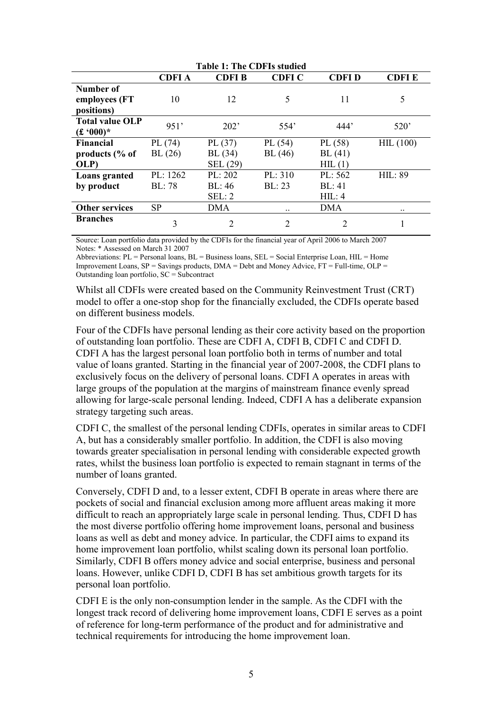| <b>Table 1: The CDFIs studied</b> |               |                |                |              |                |  |
|-----------------------------------|---------------|----------------|----------------|--------------|----------------|--|
|                                   | <b>CDFIA</b>  | CDFI B         | <b>CDFI C</b>  | <b>CDFID</b> | <b>CDFIE</b>   |  |
| Number of                         |               |                |                |              |                |  |
| employees (FT                     | 10            | 12             | 5              | 11           | 5              |  |
| positions)                        |               |                |                |              |                |  |
| <b>Total value OLP</b>            | 951'          | 202'           | 554'           | 444'         | 520'           |  |
| $(f \cdot 000)^*$                 |               |                |                |              |                |  |
| <b>Financial</b>                  | PL(74)        | PL $(37)$      | PL(54)         | PL(58)       | HIL(100)       |  |
| products $\frac{6}{6}$ of         | BL(26)        | BL(34)         | BL(46)         | BL(41)       |                |  |
| OLP)                              |               | SEL (29)       |                | HIL(1)       |                |  |
| Loans granted                     | PL: $1262$    | PL: 202        | PL: 310        | PL: 562      | <b>HIL: 89</b> |  |
| by product                        | <b>BL:</b> 78 | BL:46          | BL: 23         | BL: 41       |                |  |
|                                   |               | SEL: 2         |                | HIL: 4       |                |  |
| <b>Other services</b>             | <b>SP</b>     | <b>DMA</b>     | $\ddotsc$      | <b>DMA</b>   | $\ddotsc$      |  |
| <b>Branches</b>                   | 3             | $\overline{2}$ | $\overline{2}$ | 2            |                |  |

Source: Loan portfolio data provided by the CDFIs for the financial year of April 2006 to March 2007 Notes: \* Assessed on March 31 2007

Abbreviations: PL = Personal loans, BL = Business loans, SEL = Social Enterprise Loan, HIL = Home Improvement Loans,  $SP =$  Savings products,  $DMA =$  Debt and Money Advice,  $FT =$  Full-time,  $OLP =$ Outstanding loan portfolio, SC = Subcontract

Whilst all CDFIs were created based on the Community Reinvestment Trust (CRT) model to offer a one-stop shop for the financially excluded, the CDFIs operate based on different business models.

Four of the CDFIs have personal lending as their core activity based on the proportion of outstanding loan portfolio. These are CDFI A, CDFI B, CDFI C and CDFI D. CDFI A has the largest personal loan portfolio both in terms of number and total value of loans granted. Starting in the financial year of 2007-2008, the CDFI plans to exclusively focus on the delivery of personal loans. CDFI A operates in areas with large groups of the population at the margins of mainstream finance evenly spread allowing for large-scale personal lending. Indeed, CDFI A has a deliberate expansion strategy targeting such areas.

CDFI C, the smallest of the personal lending CDFIs, operates in similar areas to CDFI A, but has a considerably smaller portfolio. In addition, the CDFI is also moving towards greater specialisation in personal lending with considerable expected growth rates, whilst the business loan portfolio is expected to remain stagnant in terms of the number of loans granted.

Conversely, CDFI D and, to a lesser extent, CDFI B operate in areas where there are pockets of social and financial exclusion among more affluent areas making it more difficult to reach an appropriately large scale in personal lending. Thus, CDFI D has the most diverse portfolio offering home improvement loans, personal and business loans as well as debt and money advice. In particular, the CDFI aims to expand its home improvement loan portfolio, whilst scaling down its personal loan portfolio. Similarly, CDFI B offers money advice and social enterprise, business and personal loans. However, unlike CDFI D, CDFI B has set ambitious growth targets for its personal loan portfolio.

CDFI E is the only non-consumption lender in the sample. As the CDFI with the longest track record of delivering home improvement loans, CDFI E serves as a point of reference for long-term performance of the product and for administrative and technical requirements for introducing the home improvement loan.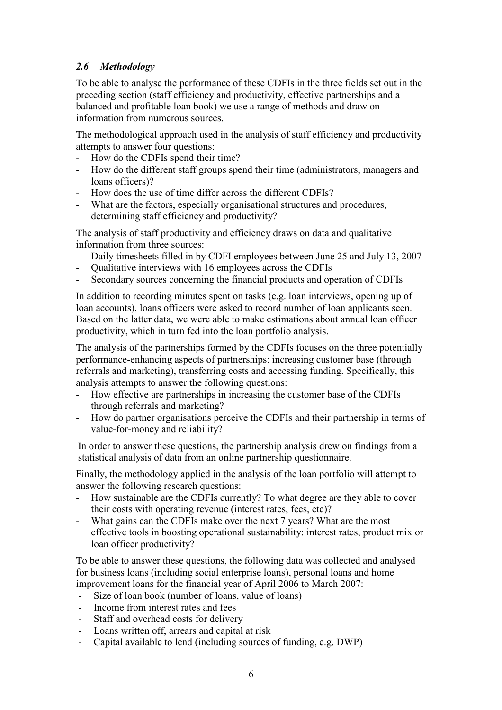# 2.6 Methodology

To be able to analyse the performance of these CDFIs in the three fields set out in the preceding section (staff efficiency and productivity, effective partnerships and a balanced and profitable loan book) we use a range of methods and draw on information from numerous sources.

The methodological approach used in the analysis of staff efficiency and productivity attempts to answer four questions:

- How do the CDFIs spend their time?
- How do the different staff groups spend their time (administrators, managers and loans officers)?
- How does the use of time differ across the different CDFIs?
- What are the factors, especially organisational structures and procedures, determining staff efficiency and productivity?

The analysis of staff productivity and efficiency draws on data and qualitative information from three sources:

- Daily timesheets filled in by CDFI employees between June 25 and July 13, 2007
- Qualitative interviews with 16 employees across the CDFIs
- Secondary sources concerning the financial products and operation of CDFIs

In addition to recording minutes spent on tasks (e.g. loan interviews, opening up of loan accounts), loans officers were asked to record number of loan applicants seen. Based on the latter data, we were able to make estimations about annual loan officer productivity, which in turn fed into the loan portfolio analysis.

The analysis of the partnerships formed by the CDFIs focuses on the three potentially performance-enhancing aspects of partnerships: increasing customer base (through referrals and marketing), transferring costs and accessing funding. Specifically, this analysis attempts to answer the following questions:

- How effective are partnerships in increasing the customer base of the CDFIs through referrals and marketing?
- How do partner organisations perceive the CDFIs and their partnership in terms of value-for-money and reliability?

In order to answer these questions, the partnership analysis drew on findings from a statistical analysis of data from an online partnership questionnaire.

Finally, the methodology applied in the analysis of the loan portfolio will attempt to answer the following research questions:

- How sustainable are the CDFIs currently? To what degree are they able to cover their costs with operating revenue (interest rates, fees, etc)?
- What gains can the CDFIs make over the next 7 years? What are the most effective tools in boosting operational sustainability: interest rates, product mix or loan officer productivity?

To be able to answer these questions, the following data was collected and analysed for business loans (including social enterprise loans), personal loans and home improvement loans for the financial year of April 2006 to March 2007:

- Size of loan book (number of loans, value of loans)
- Income from interest rates and fees
- Staff and overhead costs for delivery
- Loans written off, arrears and capital at risk
- Capital available to lend (including sources of funding, e.g. DWP)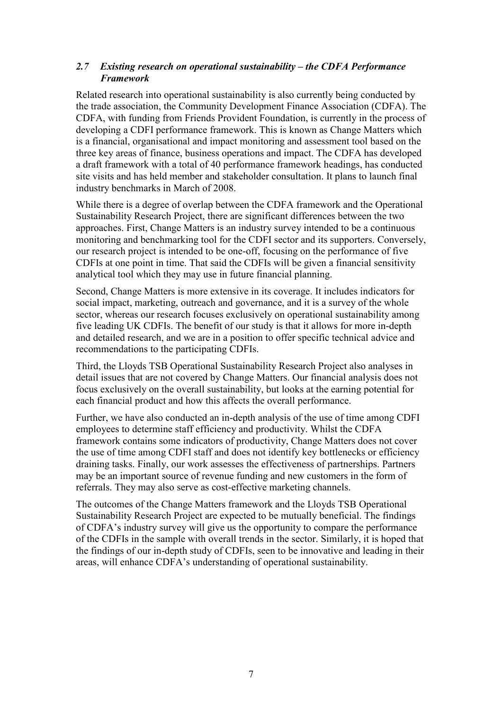#### 2.7 Existing research on operational sustainability – the CDFA Performance Framework

Related research into operational sustainability is also currently being conducted by the trade association, the Community Development Finance Association (CDFA). The CDFA, with funding from Friends Provident Foundation, is currently in the process of developing a CDFI performance framework. This is known as Change Matters which is a financial, organisational and impact monitoring and assessment tool based on the three key areas of finance, business operations and impact. The CDFA has developed a draft framework with a total of 40 performance framework headings, has conducted site visits and has held member and stakeholder consultation. It plans to launch final industry benchmarks in March of 2008.

While there is a degree of overlap between the CDFA framework and the Operational Sustainability Research Project, there are significant differences between the two approaches. First, Change Matters is an industry survey intended to be a continuous monitoring and benchmarking tool for the CDFI sector and its supporters. Conversely, our research project is intended to be one-off, focusing on the performance of five CDFIs at one point in time. That said the CDFIs will be given a financial sensitivity analytical tool which they may use in future financial planning.

Second, Change Matters is more extensive in its coverage. It includes indicators for social impact, marketing, outreach and governance, and it is a survey of the whole sector, whereas our research focuses exclusively on operational sustainability among five leading UK CDFIs. The benefit of our study is that it allows for more in-depth and detailed research, and we are in a position to offer specific technical advice and recommendations to the participating CDFIs.

Third, the Lloyds TSB Operational Sustainability Research Project also analyses in detail issues that are not covered by Change Matters. Our financial analysis does not focus exclusively on the overall sustainability, but looks at the earning potential for each financial product and how this affects the overall performance.

Further, we have also conducted an in-depth analysis of the use of time among CDFI employees to determine staff efficiency and productivity. Whilst the CDFA framework contains some indicators of productivity, Change Matters does not cover the use of time among CDFI staff and does not identify key bottlenecks or efficiency draining tasks. Finally, our work assesses the effectiveness of partnerships. Partners may be an important source of revenue funding and new customers in the form of referrals. They may also serve as cost-effective marketing channels.

The outcomes of the Change Matters framework and the Lloyds TSB Operational Sustainability Research Project are expected to be mutually beneficial. The findings of CDFA's industry survey will give us the opportunity to compare the performance of the CDFIs in the sample with overall trends in the sector. Similarly, it is hoped that the findings of our in-depth study of CDFIs, seen to be innovative and leading in their areas, will enhance CDFA's understanding of operational sustainability.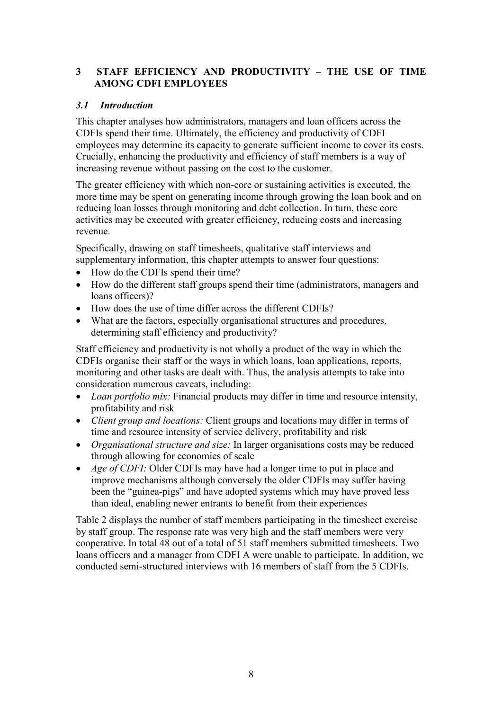### 3 STAFF EFFICIENCY AND PRODUCTIVITY – THE USE OF TIME AMONG CDFI EMPLOYEES

### 3.1 Introduction

This chapter analyses how administrators, managers and loan officers across the CDFIs spend their time. Ultimately, the efficiency and productivity of CDFI employees may determine its capacity to generate sufficient income to cover its costs. Crucially, enhancing the productivity and efficiency of staff members is a way of increasing revenue without passing on the cost to the customer.

The greater efficiency with which non-core or sustaining activities is executed, the more time may be spent on generating income through growing the loan book and on reducing loan losses through monitoring and debt collection. In turn, these core activities may be executed with greater efficiency, reducing costs and increasing revenue.

Specifically, drawing on staff timesheets, qualitative staff interviews and supplementary information, this chapter attempts to answer four questions:

- How do the CDFIs spend their time?
- How do the different staff groups spend their time (administrators, managers and loans officers)?
- How does the use of time differ across the different CDFIs?
- What are the factors, especially organisational structures and procedures, determining staff efficiency and productivity?

Staff efficiency and productivity is not wholly a product of the way in which the CDFIs organise their staff or the ways in which loans, loan applications, reports, monitoring and other tasks are dealt with. Thus, the analysis attempts to take into consideration numerous caveats, including:

- Loan portfolio mix: Financial products may differ in time and resource intensity, profitability and risk
- *Client group and locations:* Client groups and locations may differ in terms of time and resource intensity of service delivery, profitability and risk
- Organisational structure and size: In larger organisations costs may be reduced through allowing for economies of scale
- Age of CDFI: Older CDFIs may have had a longer time to put in place and improve mechanisms although conversely the older CDFIs may suffer having been the "guinea-pigs" and have adopted systems which may have proved less than ideal, enabling newer entrants to benefit from their experiences

Table 2 displays the number of staff members participating in the timesheet exercise by staff group. The response rate was very high and the staff members were very cooperative. In total 48 out of a total of 51 staff members submitted timesheets. Two loans officers and a manager from CDFI A were unable to participate. In addition, we conducted semi-structured interviews with 16 members of staff from the 5 CDFIs.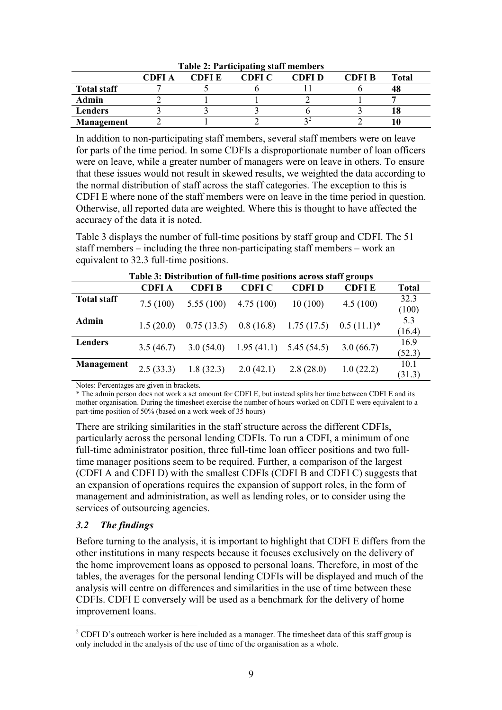|                    | CDFI A | CDFI E | CDFI C | CDFI D | CDFI B | <b>Total</b> |  |
|--------------------|--------|--------|--------|--------|--------|--------------|--|
| <b>Total staff</b> |        |        |        |        |        | 48           |  |
| Admin              |        |        |        |        |        |              |  |
| Lenders            |        |        |        |        |        | . 0          |  |
| <b>Management</b>  |        |        |        |        |        |              |  |

Table 2: Participating staff members

In addition to non-participating staff members, several staff members were on leave for parts of the time period. In some CDFIs a disproportionate number of loan officers were on leave, while a greater number of managers were on leave in others. To ensure that these issues would not result in skewed results, we weighted the data according to the normal distribution of staff across the staff categories. The exception to this is CDFI E where none of the staff members were on leave in the time period in question. Otherwise, all reported data are weighted. Where this is thought to have affected the accuracy of the data it is noted.

Table 3 displays the number of full-time positions by staff group and CDFI. The 51 staff members – including the three non-participating staff members – work an equivalent to 32.3 full-time positions.

|                    | Table 5. Distribution of fun-thire positions across start groups |              |                           |              |               |                |  |
|--------------------|------------------------------------------------------------------|--------------|---------------------------|--------------|---------------|----------------|--|
|                    | <b>CDFIA</b>                                                     | <b>CDFIB</b> | <b>CDFI C</b>             | <b>CDFID</b> | <b>CDFIE</b>  | <b>Total</b>   |  |
| <b>Total staff</b> | 7.5(100)                                                         | 5.55(100)    | 4.75(100)                 | 10(100)      | 4.5(100)      | 32.3<br>(100)  |  |
| Admin              | 1.5(20.0)                                                        | 0.75(13.5)   | 0.8(16.8)                 | 1.75(17.5)   | $0.5(11.1)^*$ | 5.3<br>(16.4)  |  |
| Lenders            | 3.5(46.7)                                                        | 3.0(54.0)    | $1.95(41.1)$ $5.45(54.5)$ |              | 3.0(66.7)     | 16.9<br>(52.3) |  |
| <b>Management</b>  | 2.5(33.3)                                                        | 1.8(32.3)    | 2.0(42.1)                 | 2.8(28.0)    | 1.0(22.2)     | 10.1<br>(31.3) |  |

Table 3: Distribution of full-time positions across staff groups

Notes: Percentages are given in brackets.

\* The admin person does not work a set amount for CDFI E, but instead splits her time between CDFI E and its mother organisation. During the timesheet exercise the number of hours worked on CDFI E were equivalent to a part-time position of 50% (based on a work week of 35 hours)

There are striking similarities in the staff structure across the different CDFIs, particularly across the personal lending CDFIs. To run a CDFI, a minimum of one full-time administrator position, three full-time loan officer positions and two fulltime manager positions seem to be required. Further, a comparison of the largest (CDFI A and CDFI D) with the smallest CDFIs (CDFI B and CDFI C) suggests that an expansion of operations requires the expansion of support roles, in the form of management and administration, as well as lending roles, or to consider using the services of outsourcing agencies.

# 3.2 The findings

Before turning to the analysis, it is important to highlight that CDFI E differs from the other institutions in many respects because it focuses exclusively on the delivery of the home improvement loans as opposed to personal loans. Therefore, in most of the tables, the averages for the personal lending CDFIs will be displayed and much of the analysis will centre on differences and similarities in the use of time between these CDFIs. CDFI E conversely will be used as a benchmark for the delivery of home improvement loans.

<sup>&</sup>lt;sup>2</sup> CDFI D's outreach worker is here included as a manager. The timesheet data of this staff group is only included in the analysis of the use of time of the organisation as a whole.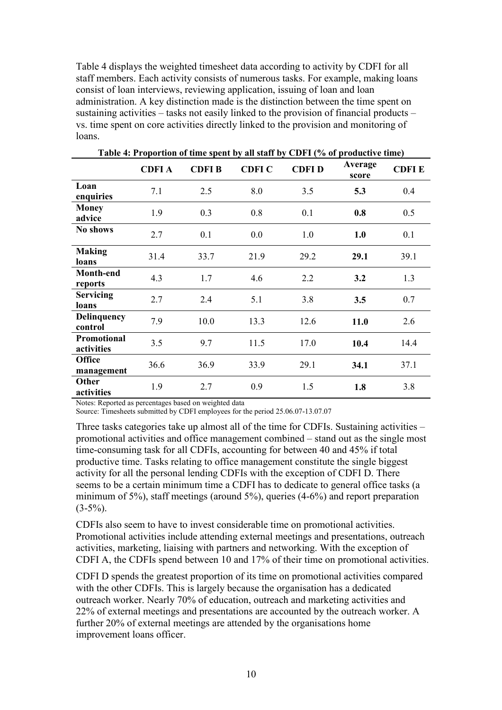Table 4 displays the weighted timesheet data according to activity by CDFI for all staff members. Each activity consists of numerous tasks. For example, making loans consist of loan interviews, reviewing application, issuing of loan and loan administration. A key distinction made is the distinction between the time spent on sustaining activities – tasks not easily linked to the provision of financial products – vs. time spent on core activities directly linked to the provision and monitoring of loans.

| <b>Lavic 4.</b> Let upon tion of this spent by an start by CDPT (70 of productive this) |              |              |               |              |                  |              |
|-----------------------------------------------------------------------------------------|--------------|--------------|---------------|--------------|------------------|--------------|
|                                                                                         | <b>CDFIA</b> | <b>CDFIB</b> | <b>CDFI C</b> | <b>CDFID</b> | Average<br>score | <b>CDFIE</b> |
| Loan<br>enquiries                                                                       | 7.1          | 2.5          | 8.0           | 3.5          | 5.3              | 0.4          |
| <b>Money</b><br>advice                                                                  | 1.9          | 0.3          | 0.8           | 0.1          | 0.8              | 0.5          |
| No shows                                                                                | 2.7          | 0.1          | 0.0           | 1.0          | 1.0              | 0.1          |
| <b>Making</b><br>loans                                                                  | 31.4         | 33.7         | 21.9          | 29.2         | 29.1             | 39.1         |
| Month-end<br>reports                                                                    | 4.3          | 1.7          | 4.6           | 2.2          | 3.2              | 1.3          |
| <b>Servicing</b><br>loans                                                               | 2.7          | 2.4          | 5.1           | 3.8          | 3.5              | 0.7          |
| Delinquency<br>control                                                                  | 7.9          | 10.0         | 13.3          | 12.6         | 11.0             | 2.6          |
| Promotional<br>activities                                                               | 3.5          | 9.7          | 11.5          | 17.0         | 10.4             | 14.4         |
| <b>Office</b><br>management                                                             | 36.6         | 36.9         | 33.9          | 29.1         | 34.1             | 37.1         |
| Other<br>activities                                                                     | 1.9          | 2.7          | 0.9           | 1.5          | 1.8              | 3.8          |

Notes: Reported as percentages based on weighted data

Source: Timesheets submitted by CDFI employees for the period 25.06.07-13.07.07

Three tasks categories take up almost all of the time for CDFIs. Sustaining activities – promotional activities and office management combined – stand out as the single most time-consuming task for all CDFIs, accounting for between 40 and 45% if total productive time. Tasks relating to office management constitute the single biggest activity for all the personal lending CDFIs with the exception of CDFI D. There seems to be a certain minimum time a CDFI has to dedicate to general office tasks (a minimum of 5%), staff meetings (around 5%), queries (4-6%) and report preparation  $(3-5\%)$ .

CDFIs also seem to have to invest considerable time on promotional activities. Promotional activities include attending external meetings and presentations, outreach activities, marketing, liaising with partners and networking. With the exception of CDFI A, the CDFIs spend between 10 and 17% of their time on promotional activities.

CDFI D spends the greatest proportion of its time on promotional activities compared with the other CDFIs. This is largely because the organisation has a dedicated outreach worker. Nearly 70% of education, outreach and marketing activities and 22% of external meetings and presentations are accounted by the outreach worker. A further 20% of external meetings are attended by the organisations home improvement loans officer.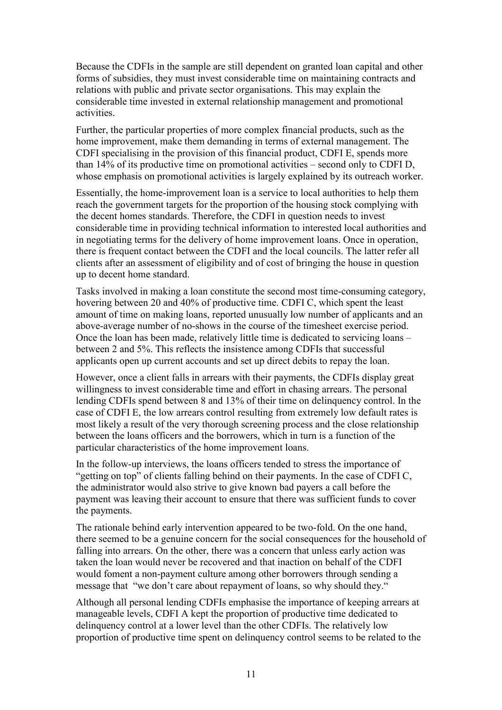Because the CDFIs in the sample are still dependent on granted loan capital and other forms of subsidies, they must invest considerable time on maintaining contracts and relations with public and private sector organisations. This may explain the considerable time invested in external relationship management and promotional activities.

Further, the particular properties of more complex financial products, such as the home improvement, make them demanding in terms of external management. The CDFI specialising in the provision of this financial product, CDFI E, spends more than 14% of its productive time on promotional activities – second only to CDFI D, whose emphasis on promotional activities is largely explained by its outreach worker.

Essentially, the home-improvement loan is a service to local authorities to help them reach the government targets for the proportion of the housing stock complying with the decent homes standards. Therefore, the CDFI in question needs to invest considerable time in providing technical information to interested local authorities and in negotiating terms for the delivery of home improvement loans. Once in operation, there is frequent contact between the CDFI and the local councils. The latter refer all clients after an assessment of eligibility and of cost of bringing the house in question up to decent home standard.

Tasks involved in making a loan constitute the second most time-consuming category, hovering between 20 and 40% of productive time. CDFI C, which spent the least amount of time on making loans, reported unusually low number of applicants and an above-average number of no-shows in the course of the timesheet exercise period. Once the loan has been made, relatively little time is dedicated to servicing loans – between 2 and 5%. This reflects the insistence among CDFIs that successful applicants open up current accounts and set up direct debits to repay the loan.

However, once a client falls in arrears with their payments, the CDFIs display great willingness to invest considerable time and effort in chasing arrears. The personal lending CDFIs spend between 8 and 13% of their time on delinquency control. In the case of CDFI E, the low arrears control resulting from extremely low default rates is most likely a result of the very thorough screening process and the close relationship between the loans officers and the borrowers, which in turn is a function of the particular characteristics of the home improvement loans.

In the follow-up interviews, the loans officers tended to stress the importance of "getting on top" of clients falling behind on their payments. In the case of CDFI C, the administrator would also strive to give known bad payers a call before the payment was leaving their account to ensure that there was sufficient funds to cover the payments.

The rationale behind early intervention appeared to be two-fold. On the one hand, there seemed to be a genuine concern for the social consequences for the household of falling into arrears. On the other, there was a concern that unless early action was taken the loan would never be recovered and that inaction on behalf of the CDFI would foment a non-payment culture among other borrowers through sending a message that "we don't care about repayment of loans, so why should they."

Although all personal lending CDFIs emphasise the importance of keeping arrears at manageable levels, CDFI A kept the proportion of productive time dedicated to delinquency control at a lower level than the other CDFIs. The relatively low proportion of productive time spent on delinquency control seems to be related to the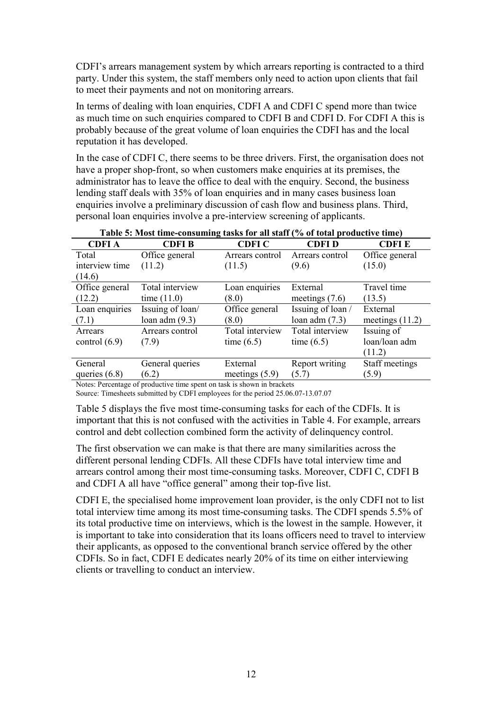CDFI's arrears management system by which arrears reporting is contracted to a third party. Under this system, the staff members only need to action upon clients that fail to meet their payments and not on monitoring arrears.

In terms of dealing with loan enquiries, CDFI A and CDFI C spend more than twice as much time on such enquiries compared to CDFI B and CDFI D. For CDFI A this is probably because of the great volume of loan enquiries the CDFI has and the local reputation it has developed.

In the case of CDFI C, there seems to be three drivers. First, the organisation does not have a proper shop-front, so when customers make enquiries at its premises, the administrator has to leave the office to deal with the enquiry. Second, the business lending staff deals with 35% of loan enquiries and in many cases business loan enquiries involve a preliminary discussion of cash flow and business plans. Third, personal loan enquiries involve a pre-interview screening of applicants.

|                                                                                                                                                                                                                                                                                   | Table 3. Most third consuming tasks for an start (70 or total productive third) |                  |                   |                   |  |  |
|-----------------------------------------------------------------------------------------------------------------------------------------------------------------------------------------------------------------------------------------------------------------------------------|---------------------------------------------------------------------------------|------------------|-------------------|-------------------|--|--|
| <b>CDFIA</b>                                                                                                                                                                                                                                                                      | <b>CDFIB</b>                                                                    | <b>CDFI C</b>    | <b>CDFID</b>      | <b>CDFIE</b>      |  |  |
| Total                                                                                                                                                                                                                                                                             | Office general                                                                  | Arrears control  | Arrears control   | Office general    |  |  |
| interview time                                                                                                                                                                                                                                                                    | (11.2)                                                                          | (11.5)           | (9.6)             | (15.0)            |  |  |
| (14.6)                                                                                                                                                                                                                                                                            |                                                                                 |                  |                   |                   |  |  |
| Office general                                                                                                                                                                                                                                                                    | Total interview                                                                 | Loan enquiries   | External          | Travel time       |  |  |
| (12.2)                                                                                                                                                                                                                                                                            | time $(11.0)$                                                                   | (8.0)            | meetings $(7.6)$  | (13.5)            |  |  |
| Loan enquiries                                                                                                                                                                                                                                                                    | Issuing of loan/                                                                | Office general   | Issuing of loan / | External          |  |  |
| (7.1)                                                                                                                                                                                                                                                                             | loan adm $(9.3)$                                                                | (8.0)            | loan adm $(7.3)$  | meetings $(11.2)$ |  |  |
| Arrears                                                                                                                                                                                                                                                                           | Arrears control                                                                 | Total interview  | Total interview   | Issuing of        |  |  |
| control $(6.9)$                                                                                                                                                                                                                                                                   | (7.9)                                                                           | time $(6.5)$     | time $(6.5)$      | loan/loan adm     |  |  |
|                                                                                                                                                                                                                                                                                   |                                                                                 |                  |                   | (11.2)            |  |  |
| General                                                                                                                                                                                                                                                                           | General queries                                                                 | External         | Report writing    | Staff meetings    |  |  |
| queries $(6.8)$                                                                                                                                                                                                                                                                   | (6.2)                                                                           | meetings $(5.9)$ | (5.7)             | (5.9)             |  |  |
| $\mathcal{C}$ and $\mathcal{C}$ are the set of the set of the set of the set of the set of the set of the set of the set of the set of the set of the set of the set of the set of the set of the set of the set of the set of the set<br>$\mathbf{M}$ is the set of $\mathbf{M}$ |                                                                                 |                  |                   |                   |  |  |

| Table 5: Most time-consuming tasks for all staff (% of total productive time) |  |  |
|-------------------------------------------------------------------------------|--|--|
|                                                                               |  |  |

Notes: Percentage of productive time spent on task is shown in brackets

Source: Timesheets submitted by CDFI employees for the period 25.06.07-13.07.07

Table 5 displays the five most time-consuming tasks for each of the CDFIs. It is important that this is not confused with the activities in Table 4. For example, arrears control and debt collection combined form the activity of delinquency control.

The first observation we can make is that there are many similarities across the different personal lending CDFIs. All these CDFIs have total interview time and arrears control among their most time-consuming tasks. Moreover, CDFI C, CDFI B and CDFI A all have "office general" among their top-five list.

CDFI E, the specialised home improvement loan provider, is the only CDFI not to list total interview time among its most time-consuming tasks. The CDFI spends 5.5% of its total productive time on interviews, which is the lowest in the sample. However, it is important to take into consideration that its loans officers need to travel to interview their applicants, as opposed to the conventional branch service offered by the other CDFIs. So in fact, CDFI E dedicates nearly 20% of its time on either interviewing clients or travelling to conduct an interview.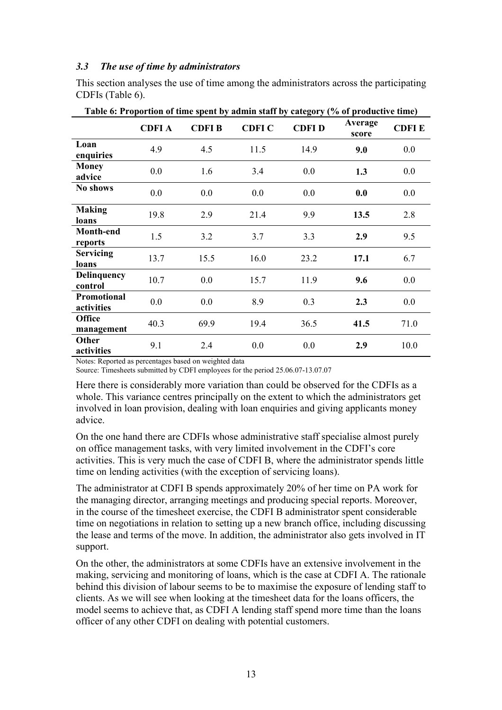#### 3.3 The use of time by administrators

This section analyses the use of time among the administrators across the participating CDFIs (Table 6).

|                               | <b>CDFIA</b> | <b>CDFIB</b> | <b>CDFI C</b> | radic or Froportion of this spent by authin start by eategory (70 or productive thirt)<br><b>CDFID</b> | Average<br>score | <b>CDFIE</b> |
|-------------------------------|--------------|--------------|---------------|--------------------------------------------------------------------------------------------------------|------------------|--------------|
| Loan<br>enquiries             | 4.9          | 4.5          | 11.5          | 14.9                                                                                                   | 9.0              | 0.0          |
| <b>Money</b><br>advice        | 0.0          | 1.6          | 3.4           | 0.0                                                                                                    | 1.3              | 0.0          |
| No shows                      | 0.0          | 0.0          | 0.0           | 0.0                                                                                                    | 0.0              | 0.0          |
| <b>Making</b><br>loans        | 19.8         | 2.9          | 21.4          | 9.9                                                                                                    | 13.5             | 2.8          |
| Month-end<br>reports          | 1.5          | 3.2          | 3.7           | 3.3                                                                                                    | 2.9              | 9.5          |
| <b>Servicing</b><br>loans     | 13.7         | 15.5         | 16.0          | 23.2                                                                                                   | 17.1             | 6.7          |
| <b>Delinquency</b><br>control | 10.7         | 0.0          | 15.7          | 11.9                                                                                                   | 9.6              | 0.0          |
| Promotional<br>activities     | 0.0          | 0.0          | 8.9           | 0.3                                                                                                    | 2.3              | 0.0          |
| <b>Office</b><br>management   | 40.3         | 69.9         | 19.4          | 36.5                                                                                                   | 41.5             | 71.0         |
| Other<br>activities           | 9.1          | 2.4          | 0.0           | 0.0                                                                                                    | 2.9              | 10.0         |

Notes: Reported as percentages based on weighted data

Source: Timesheets submitted by CDFI employees for the period 25.06.07-13.07.07

Here there is considerably more variation than could be observed for the CDFIs as a whole. This variance centres principally on the extent to which the administrators get involved in loan provision, dealing with loan enquiries and giving applicants money advice.

On the one hand there are CDFIs whose administrative staff specialise almost purely on office management tasks, with very limited involvement in the CDFI's core activities. This is very much the case of CDFI B, where the administrator spends little time on lending activities (with the exception of servicing loans).

The administrator at CDFI B spends approximately 20% of her time on PA work for the managing director, arranging meetings and producing special reports. Moreover, in the course of the timesheet exercise, the CDFI B administrator spent considerable time on negotiations in relation to setting up a new branch office, including discussing the lease and terms of the move. In addition, the administrator also gets involved in IT support.

On the other, the administrators at some CDFIs have an extensive involvement in the making, servicing and monitoring of loans, which is the case at CDFI A. The rationale behind this division of labour seems to be to maximise the exposure of lending staff to clients. As we will see when looking at the timesheet data for the loans officers, the model seems to achieve that, as CDFI A lending staff spend more time than the loans officer of any other CDFI on dealing with potential customers.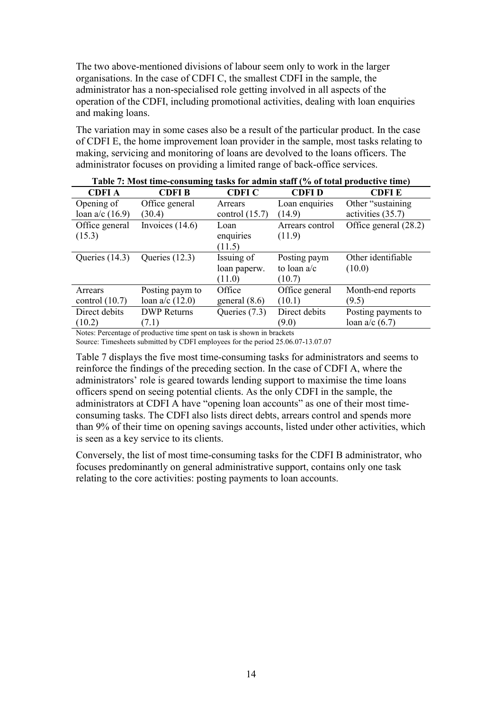The two above-mentioned divisions of labour seem only to work in the larger organisations. In the case of CDFI C, the smallest CDFI in the sample, the administrator has a non-specialised role getting involved in all aspects of the operation of the CDFI, including promotional activities, dealing with loan enquiries and making loans.

The variation may in some cases also be a result of the particular product. In the case of CDFI E, the home improvement loan provider in the sample, most tasks relating to making, servicing and monitoring of loans are devolved to the loans officers. The administrator focuses on providing a limited range of back-office services.

|                   | Table 7. MOSt thirt-consuming tasks for authin staff (70 of total productive thirt) |                  |                 |                       |  |  |  |  |
|-------------------|-------------------------------------------------------------------------------------|------------------|-----------------|-----------------------|--|--|--|--|
| <b>CDFIA</b>      | <b>CDFIB</b>                                                                        | <b>CDFIC</b>     | CDFI D          | <b>CDFIE</b>          |  |  |  |  |
| Opening of        | Office general                                                                      | Arrears          | Loan enquiries  | Other "sustaining"    |  |  |  |  |
| loan $a/c$ (16.9) | (30.4)                                                                              | control $(15.7)$ | (14.9)          | activities (35.7)     |  |  |  |  |
| Office general    | Invoices $(14.6)$                                                                   | Loan             | Arrears control | Office general (28.2) |  |  |  |  |
| (15.3)            |                                                                                     | enquiries        | (11.9)          |                       |  |  |  |  |
|                   |                                                                                     | (11.5)           |                 |                       |  |  |  |  |
| Queries $(14.3)$  | Queries $(12.3)$                                                                    | Issuing of       | Posting paym    | Other identifiable    |  |  |  |  |
|                   |                                                                                     | loan paperw.     | to loan $a/c$   | (10.0)                |  |  |  |  |
|                   |                                                                                     | (11.0)           | (10.7)          |                       |  |  |  |  |
| Arrears           | Posting paym to                                                                     | Office           | Office general  | Month-end reports     |  |  |  |  |
| control $(10.7)$  | loan $a/c$ (12.0)                                                                   | general $(8.6)$  | (10.1)          | (9.5)                 |  |  |  |  |
| Direct debits     | <b>DWP</b> Returns                                                                  | Queries (7.3)    | Direct debits   | Posting payments to   |  |  |  |  |
| (10.2)            | (7.1)                                                                               |                  | (9.0)           | loan $a/c$ (6.7)      |  |  |  |  |
|                   |                                                                                     |                  |                 |                       |  |  |  |  |

|  | Table 7: Most time-consuming tasks for admin staff (% of total productive time) |  |  |  |  |
|--|---------------------------------------------------------------------------------|--|--|--|--|
|--|---------------------------------------------------------------------------------|--|--|--|--|

Notes: Percentage of productive time spent on task is shown in brackets Source: Timesheets submitted by CDFI employees for the period 25.06.07-13.07.07

Table 7 displays the five most time-consuming tasks for administrators and seems to reinforce the findings of the preceding section. In the case of CDFI A, where the administrators' role is geared towards lending support to maximise the time loans officers spend on seeing potential clients. As the only CDFI in the sample, the administrators at CDFI A have "opening loan accounts" as one of their most timeconsuming tasks. The CDFI also lists direct debts, arrears control and spends more than 9% of their time on opening savings accounts, listed under other activities, which is seen as a key service to its clients.

Conversely, the list of most time-consuming tasks for the CDFI B administrator, who focuses predominantly on general administrative support, contains only one task relating to the core activities: posting payments to loan accounts.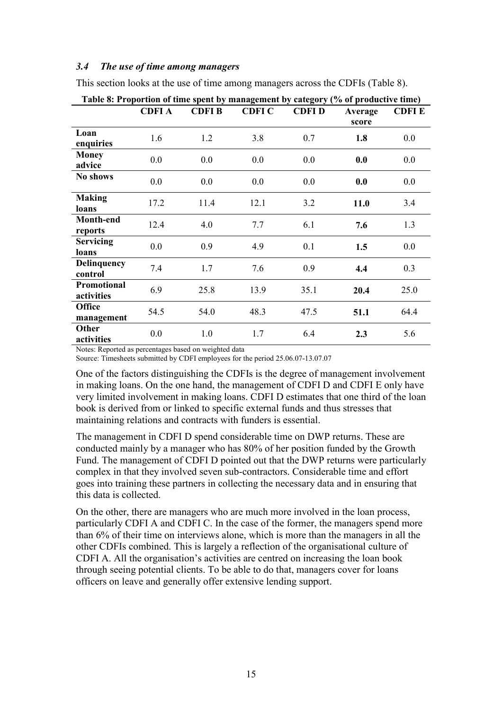#### 3.4 The use of time among managers

This section looks at the use of time among managers across the CDFIs (Table 8).

|                                  | <b>CDFIA</b> | <b>CDFIB</b> | <b>CDFI C</b> | <b>CDFID</b> | Average<br>score | <b>CDFIE</b> |
|----------------------------------|--------------|--------------|---------------|--------------|------------------|--------------|
| Loan<br>enquiries                | 1.6          | 1.2          | 3.8           | 0.7          | 1.8              | 0.0          |
| <b>Money</b><br>advice           | 0.0          | 0.0          | 0.0           | 0.0          | 0.0              | 0.0          |
| No shows                         | 0.0          | 0.0          | 0.0           | 0.0          | 0.0              | 0.0          |
| <b>Making</b><br>loans           | 17.2         | 11.4         | 12.1          | 3.2          | 11.0             | 3.4          |
| Month-end<br>reports             | 12.4         | 4.0          | 7.7           | 6.1          | 7.6              | 1.3          |
| <b>Servicing</b><br>loans        | 0.0          | 0.9          | 4.9           | 0.1          | 1.5              | 0.0          |
| <b>Delinquency</b><br>control    | 7.4          | 1.7          | 7.6           | 0.9          | 4.4              | 0.3          |
| <b>Promotional</b><br>activities | 6.9          | 25.8         | 13.9          | 35.1         | 20.4             | 25.0         |
| <b>Office</b><br>management      | 54.5         | 54.0         | 48.3          | 47.5         | 51.1             | 64.4         |
| Other<br>activities              | 0.0          | 1.0          | 1.7           | 6.4          | 2.3              | 5.6          |

Table 8: Proportion of time spent by management by category (% of productive time)

Notes: Reported as percentages based on weighted data

Source: Timesheets submitted by CDFI employees for the period 25.06.07-13.07.07

One of the factors distinguishing the CDFIs is the degree of management involvement in making loans. On the one hand, the management of CDFI D and CDFI E only have very limited involvement in making loans. CDFI D estimates that one third of the loan book is derived from or linked to specific external funds and thus stresses that maintaining relations and contracts with funders is essential.

The management in CDFI D spend considerable time on DWP returns. These are conducted mainly by a manager who has 80% of her position funded by the Growth Fund. The management of CDFI D pointed out that the DWP returns were particularly complex in that they involved seven sub-contractors. Considerable time and effort goes into training these partners in collecting the necessary data and in ensuring that this data is collected.

On the other, there are managers who are much more involved in the loan process, particularly CDFI A and CDFI C. In the case of the former, the managers spend more than 6% of their time on interviews alone, which is more than the managers in all the other CDFIs combined. This is largely a reflection of the organisational culture of CDFI A. All the organisation's activities are centred on increasing the loan book through seeing potential clients. To be able to do that, managers cover for loans officers on leave and generally offer extensive lending support.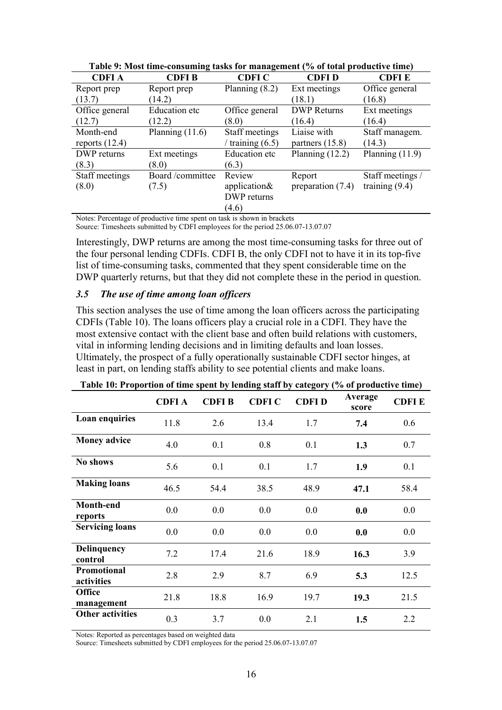| таріс 2, гібэс пінс-сонзанніе таму тог піанаgенісне (70 от сота ргодісті є пінс) |                      |                    |                     |                   |  |  |  |  |
|----------------------------------------------------------------------------------|----------------------|--------------------|---------------------|-------------------|--|--|--|--|
| <b>CDFIA</b>                                                                     | <b>CDFIB</b>         | <b>CDFI C</b>      | <b>CDFID</b>        | <b>CDFIE</b>      |  |  |  |  |
| Report prep                                                                      | Report prep          | Planning $(8.2)$   | Ext meetings        | Office general    |  |  |  |  |
| (13.7)                                                                           | (14.2)               |                    | (18.1)              | (16.8)            |  |  |  |  |
| Office general                                                                   | <b>Education</b> etc | Office general     | <b>DWP</b> Returns  | Ext meetings      |  |  |  |  |
| (12.7)                                                                           | (12.2)               | (8.0)              | (16.4)              | (16.4)            |  |  |  |  |
| Month-end                                                                        | Planning $(11.6)$    | Staff meetings     | Liaise with         | Staff managem.    |  |  |  |  |
| reports $(12.4)$                                                                 |                      | / training $(6.5)$ | partners $(15.8)$   | (14.3)            |  |  |  |  |
| DWP returns                                                                      | Ext meetings         | Education etc      | Planning $(12.2)$   | Planning $(11.9)$ |  |  |  |  |
| (8.3)                                                                            | (8.0)                | (6.3)              |                     |                   |  |  |  |  |
| Staff meetings                                                                   | Board/committee      | Review             | Report              | Staff meetings /  |  |  |  |  |
| (8.0)                                                                            | (7.5)                | application&       | preparation $(7.4)$ | training $(9.4)$  |  |  |  |  |
|                                                                                  |                      | DWP returns        |                     |                   |  |  |  |  |
|                                                                                  |                      | (4.6)              |                     |                   |  |  |  |  |

Table 9: Most time-consuming tasks for management (% of total productive time)

Notes: Percentage of productive time spent on task is shown in brackets Source: Timesheets submitted by CDFI employees for the period 25.06.07-13.07.07

Interestingly, DWP returns are among the most time-consuming tasks for three out of the four personal lending CDFIs. CDFI B, the only CDFI not to have it in its top-five list of time-consuming tasks, commented that they spent considerable time on the DWP quarterly returns, but that they did not complete these in the period in question.

#### 3.5 The use of time among loan officers

This section analyses the use of time among the loan officers across the participating CDFIs (Table 10). The loans officers play a crucial role in a CDFI. They have the most extensive contact with the client base and often build relations with customers, vital in informing lending decisions and in limiting defaults and loan losses. Ultimately, the prospect of a fully operationally sustainable CDFI sector hinges, at least in part, on lending staffs ability to see potential clients and make loans.

| Table Tv: Effoportion of third spent by lenging start by category (76 of productive third) |              |              |               |              |                  |              |
|--------------------------------------------------------------------------------------------|--------------|--------------|---------------|--------------|------------------|--------------|
|                                                                                            | <b>CDFIA</b> | <b>CDFIB</b> | <b>CDFI C</b> | <b>CDFID</b> | Average<br>score | <b>CDFIE</b> |
| Loan enquiries                                                                             | 11.8         | 2.6          | 13.4          | 1.7          | 7.4              | 0.6          |
| <b>Money advice</b>                                                                        | 4.0          | 0.1          | 0.8           | 0.1          | 1.3              | 0.7          |
| No shows                                                                                   | 5.6          | 0.1          | 0.1           | 1.7          | 1.9              | 0.1          |
| <b>Making loans</b>                                                                        | 46.5         | 54.4         | 38.5          | 48.9         | 47.1             | 58.4         |
| Month-end<br>reports                                                                       | 0.0          | 0.0          | 0.0           | 0.0          | 0.0              | 0.0          |
| <b>Servicing loans</b>                                                                     | 0.0          | 0.0          | 0.0           | 0.0          | 0.0              | 0.0          |
| <b>Delinquency</b><br>control                                                              | 7.2          | 17.4         | 21.6          | 18.9         | 16.3             | 3.9          |
| Promotional<br>activities                                                                  | 2.8          | 2.9          | 8.7           | 6.9          | 5.3              | 12.5         |
| <b>Office</b><br>management                                                                | 21.8         | 18.8         | 16.9          | 19.7         | 19.3             | 21.5         |
| <b>Other activities</b>                                                                    | 0.3          | 3.7          | 0.0           | 2.1          | 1.5              | 2.2          |

Table 10: Proportion of time spent by lending staff by category (% of productive time)

Notes: Reported as percentages based on weighted data

Source: Timesheets submitted by CDFI employees for the period 25.06.07-13.07.07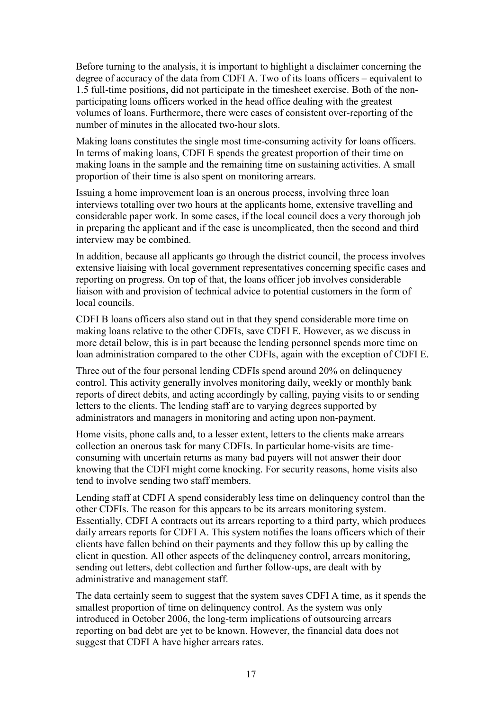Before turning to the analysis, it is important to highlight a disclaimer concerning the degree of accuracy of the data from CDFI A. Two of its loans officers – equivalent to 1.5 full-time positions, did not participate in the timesheet exercise. Both of the nonparticipating loans officers worked in the head office dealing with the greatest volumes of loans. Furthermore, there were cases of consistent over-reporting of the number of minutes in the allocated two-hour slots.

Making loans constitutes the single most time-consuming activity for loans officers. In terms of making loans, CDFI E spends the greatest proportion of their time on making loans in the sample and the remaining time on sustaining activities. A small proportion of their time is also spent on monitoring arrears.

Issuing a home improvement loan is an onerous process, involving three loan interviews totalling over two hours at the applicants home, extensive travelling and considerable paper work. In some cases, if the local council does a very thorough job in preparing the applicant and if the case is uncomplicated, then the second and third interview may be combined.

In addition, because all applicants go through the district council, the process involves extensive liaising with local government representatives concerning specific cases and reporting on progress. On top of that, the loans officer job involves considerable liaison with and provision of technical advice to potential customers in the form of local councils.

CDFI B loans officers also stand out in that they spend considerable more time on making loans relative to the other CDFIs, save CDFI E. However, as we discuss in more detail below, this is in part because the lending personnel spends more time on loan administration compared to the other CDFIs, again with the exception of CDFI E.

Three out of the four personal lending CDFIs spend around 20% on delinquency control. This activity generally involves monitoring daily, weekly or monthly bank reports of direct debits, and acting accordingly by calling, paying visits to or sending letters to the clients. The lending staff are to varying degrees supported by administrators and managers in monitoring and acting upon non-payment.

Home visits, phone calls and, to a lesser extent, letters to the clients make arrears collection an onerous task for many CDFIs. In particular home-visits are timeconsuming with uncertain returns as many bad payers will not answer their door knowing that the CDFI might come knocking. For security reasons, home visits also tend to involve sending two staff members.

Lending staff at CDFI A spend considerably less time on delinquency control than the other CDFIs. The reason for this appears to be its arrears monitoring system. Essentially, CDFI A contracts out its arrears reporting to a third party, which produces daily arrears reports for CDFI A. This system notifies the loans officers which of their clients have fallen behind on their payments and they follow this up by calling the client in question. All other aspects of the delinquency control, arrears monitoring, sending out letters, debt collection and further follow-ups, are dealt with by administrative and management staff.

The data certainly seem to suggest that the system saves CDFI A time, as it spends the smallest proportion of time on delinquency control. As the system was only introduced in October 2006, the long-term implications of outsourcing arrears reporting on bad debt are yet to be known. However, the financial data does not suggest that CDFI A have higher arrears rates.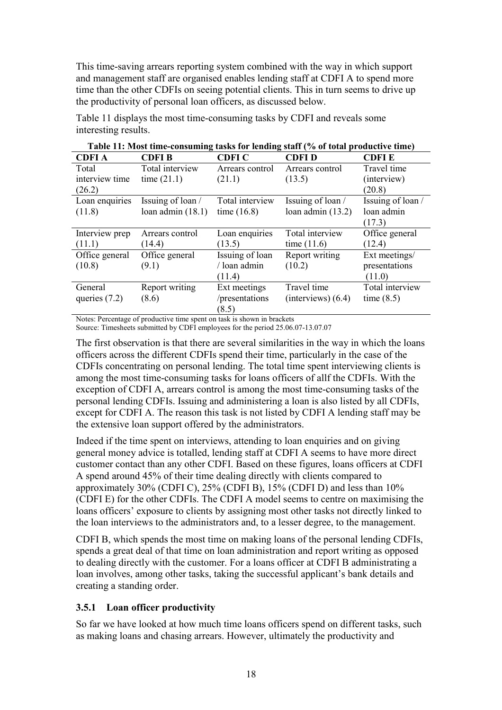This time-saving arrears reporting system combined with the way in which support and management staff are organised enables lending staff at CDFI A to spend more time than the other CDFIs on seeing potential clients. This in turn seems to drive up the productivity of personal loan officers, as discussed below.

|                 | Table 11: Most time-consuming tasks for lending staff (% of total productive time) |                 |                        |                   |  |  |  |  |
|-----------------|------------------------------------------------------------------------------------|-----------------|------------------------|-------------------|--|--|--|--|
| <b>CDFIA</b>    | <b>CDFIB</b>                                                                       | <b>CDFI C</b>   | <b>CDFID</b>           | <b>CDFIE</b>      |  |  |  |  |
| Total           | Total interview                                                                    | Arrears control | Arrears control        | Travel time       |  |  |  |  |
| interview time  | time $(21.1)$                                                                      | (21.1)          | (13.5)                 | (interview)       |  |  |  |  |
| (26.2)          |                                                                                    |                 |                        | (20.8)            |  |  |  |  |
| Loan enquiries  | Issuing of loan /                                                                  | Total interview | Issuing of loan /      | Issuing of loan / |  |  |  |  |
| (11.8)          | loan admin $(18.1)$                                                                | time $(16.8)$   | loan admin $(13.2)$    | loan admin        |  |  |  |  |
|                 |                                                                                    |                 |                        | (17.3)            |  |  |  |  |
| Interview prep  | Arrears control                                                                    | Loan enquiries  | Total interview        | Office general    |  |  |  |  |
| (11.1)          | (14.4)                                                                             | (13.5)          | time $(11.6)$          | (12.4)            |  |  |  |  |
| Office general  | Office general                                                                     | Issuing of loan | Report writing         | Ext meetings/     |  |  |  |  |
| (10.8)          | (9.1)                                                                              | / loan admin    | (10.2)                 | presentations     |  |  |  |  |
|                 |                                                                                    | (11.4)          |                        | (11.0)            |  |  |  |  |
| General         | Report writing                                                                     | Ext meetings    | Travel time            | Total interview   |  |  |  |  |
| queries $(7.2)$ | (8.6)                                                                              | /presentations  | $(interviews)$ $(6.4)$ | time $(8.5)$      |  |  |  |  |
|                 |                                                                                    | (8.5)           |                        |                   |  |  |  |  |

Table 11 displays the most time-consuming tasks by CDFI and reveals some interesting results.

Notes: Percentage of productive time spent on task is shown in brackets

Source: Timesheets submitted by CDFI employees for the period 25.06.07-13.07.07

The first observation is that there are several similarities in the way in which the loans officers across the different CDFIs spend their time, particularly in the case of the CDFIs concentrating on personal lending. The total time spent interviewing clients is among the most time-consuming tasks for loans officers of allf the CDFIs. With the exception of CDFI A, arrears control is among the most time-consuming tasks of the personal lending CDFIs. Issuing and administering a loan is also listed by all CDFIs, except for CDFI A. The reason this task is not listed by CDFI A lending staff may be the extensive loan support offered by the administrators.

Indeed if the time spent on interviews, attending to loan enquiries and on giving general money advice is totalled, lending staff at CDFI A seems to have more direct customer contact than any other CDFI. Based on these figures, loans officers at CDFI A spend around 45% of their time dealing directly with clients compared to approximately 30% (CDFI C), 25% (CDFI B), 15% (CDFI D) and less than 10% (CDFI E) for the other CDFIs. The CDFI A model seems to centre on maximising the loans officers' exposure to clients by assigning most other tasks not directly linked to the loan interviews to the administrators and, to a lesser degree, to the management.

CDFI B, which spends the most time on making loans of the personal lending CDFIs, spends a great deal of that time on loan administration and report writing as opposed to dealing directly with the customer. For a loans officer at CDFI B administrating a loan involves, among other tasks, taking the successful applicant's bank details and creating a standing order.

#### 3.5.1 Loan officer productivity

So far we have looked at how much time loans officers spend on different tasks, such as making loans and chasing arrears. However, ultimately the productivity and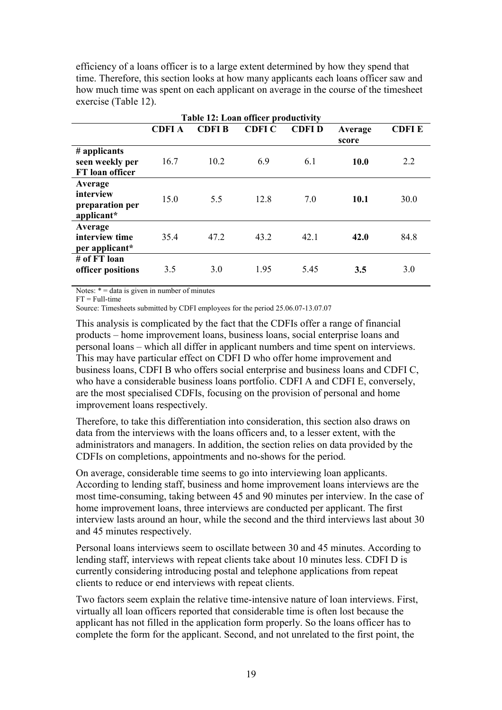efficiency of a loans officer is to a large extent determined by how they spend that time. Therefore, this section looks at how many applicants each loans officer saw and how much time was spent on each applicant on average in the course of the timesheet exercise (Table 12).

| Table 12: Loan officer productivity                   |              |               |              |              |                  |              |
|-------------------------------------------------------|--------------|---------------|--------------|--------------|------------------|--------------|
|                                                       | <b>CDFIA</b> | <b>CDFI B</b> | <b>CDFIC</b> | <b>CDFID</b> | Average<br>score | <b>CDFIE</b> |
| # applicants<br>seen weekly per<br>FT loan officer    | 16.7         | 10.2          | 6.9          | 6.1          | 10.0             | 2.2          |
| Average<br>interview<br>preparation per<br>applicant* | 15.0         | 5.5           | 12.8         | 7.0          | 10.1             | 30.0         |
| Average<br>interview time<br>per applicant*           | 35.4         | 47.2          | 43.2         | 42.1         | 42.0             | 84.8         |
| # of FT loan<br>officer positions                     | 3.5          | 3.0           | 1.95         | 5.45         | 3.5              | 3.0          |

Notes:  $* =$  data is given in number of minutes

 $FT = Full-time$ 

Source: Timesheets submitted by CDFI employees for the period 25.06.07-13.07.07

This analysis is complicated by the fact that the CDFIs offer a range of financial products – home improvement loans, business loans, social enterprise loans and personal loans – which all differ in applicant numbers and time spent on interviews. This may have particular effect on CDFI D who offer home improvement and business loans, CDFI B who offers social enterprise and business loans and CDFI C, who have a considerable business loans portfolio. CDFI A and CDFI E, conversely, are the most specialised CDFIs, focusing on the provision of personal and home improvement loans respectively.

Therefore, to take this differentiation into consideration, this section also draws on data from the interviews with the loans officers and, to a lesser extent, with the administrators and managers. In addition, the section relies on data provided by the CDFIs on completions, appointments and no-shows for the period.

On average, considerable time seems to go into interviewing loan applicants. According to lending staff, business and home improvement loans interviews are the most time-consuming, taking between 45 and 90 minutes per interview. In the case of home improvement loans, three interviews are conducted per applicant. The first interview lasts around an hour, while the second and the third interviews last about 30 and 45 minutes respectively.

Personal loans interviews seem to oscillate between 30 and 45 minutes. According to lending staff, interviews with repeat clients take about 10 minutes less. CDFI D is currently considering introducing postal and telephone applications from repeat clients to reduce or end interviews with repeat clients.

Two factors seem explain the relative time-intensive nature of loan interviews. First, virtually all loan officers reported that considerable time is often lost because the applicant has not filled in the application form properly. So the loans officer has to complete the form for the applicant. Second, and not unrelated to the first point, the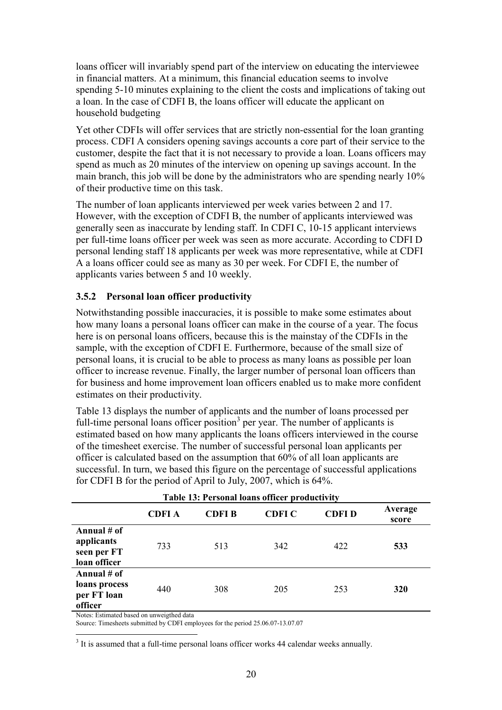loans officer will invariably spend part of the interview on educating the interviewee in financial matters. At a minimum, this financial education seems to involve spending 5-10 minutes explaining to the client the costs and implications of taking out a loan. In the case of CDFI B, the loans officer will educate the applicant on household budgeting

Yet other CDFIs will offer services that are strictly non-essential for the loan granting process. CDFI A considers opening savings accounts a core part of their service to the customer, despite the fact that it is not necessary to provide a loan. Loans officers may spend as much as 20 minutes of the interview on opening up savings account. In the main branch, this job will be done by the administrators who are spending nearly 10% of their productive time on this task.

The number of loan applicants interviewed per week varies between 2 and 17. However, with the exception of CDFI B, the number of applicants interviewed was generally seen as inaccurate by lending staff. In CDFI C, 10-15 applicant interviews per full-time loans officer per week was seen as more accurate. According to CDFI D personal lending staff 18 applicants per week was more representative, while at CDFI A a loans officer could see as many as 30 per week. For CDFI E, the number of applicants varies between 5 and 10 weekly.

#### 3.5.2 Personal loan officer productivity

Notwithstanding possible inaccuracies, it is possible to make some estimates about how many loans a personal loans officer can make in the course of a year. The focus here is on personal loans officers, because this is the mainstay of the CDFIs in the sample, with the exception of CDFI E. Furthermore, because of the small size of personal loans, it is crucial to be able to process as many loans as possible per loan officer to increase revenue. Finally, the larger number of personal loan officers than for business and home improvement loan officers enabled us to make more confident estimates on their productivity.

Table 13 displays the number of applicants and the number of loans processed per full-time personal loans officer position<sup>3</sup> per year. The number of applicants is estimated based on how many applicants the loans officers interviewed in the course of the timesheet exercise. The number of successful personal loan applicants per officer is calculated based on the assumption that 60% of all loan applicants are successful. In turn, we based this figure on the percentage of successful applications for CDFI B for the period of April to July, 2007, which is 64%.

| <b>Table 13: Personal loans officer productivity</b>     |        |              |        |              |                  |  |
|----------------------------------------------------------|--------|--------------|--------|--------------|------------------|--|
|                                                          | CDFI A | <b>CDFIB</b> | CDFI C | <b>CDFID</b> | Average<br>score |  |
| Annual # of<br>applicants<br>seen per FT<br>loan officer | 733    | 513          | 342    | 422          | 533              |  |
| Annual # of<br>loans process<br>per FT loan<br>officer   | 440    | 308          | 205    | 253          | 320              |  |

Notes: Estimated based on unweigthed data

Source: Timesheets submitted by CDFI employees for the period 25.06.07-13.07.07

 $\overline{a}$ <sup>3</sup> It is assumed that a full-time personal loans officer works 44 calendar weeks annually.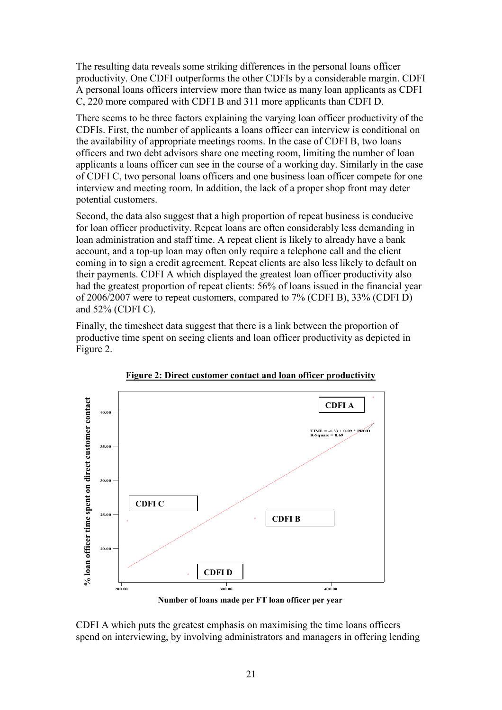The resulting data reveals some striking differences in the personal loans officer productivity. One CDFI outperforms the other CDFIs by a considerable margin. CDFI A personal loans officers interview more than twice as many loan applicants as CDFI C, 220 more compared with CDFI B and 311 more applicants than CDFI D.

There seems to be three factors explaining the varying loan officer productivity of the CDFIs. First, the number of applicants a loans officer can interview is conditional on the availability of appropriate meetings rooms. In the case of CDFI B, two loans officers and two debt advisors share one meeting room, limiting the number of loan applicants a loans officer can see in the course of a working day. Similarly in the case of CDFI C, two personal loans officers and one business loan officer compete for one interview and meeting room. In addition, the lack of a proper shop front may deter potential customers.

Second, the data also suggest that a high proportion of repeat business is conducive for loan officer productivity. Repeat loans are often considerably less demanding in loan administration and staff time. A repeat client is likely to already have a bank account, and a top-up loan may often only require a telephone call and the client coming in to sign a credit agreement. Repeat clients are also less likely to default on their payments. CDFI A which displayed the greatest loan officer productivity also had the greatest proportion of repeat clients: 56% of loans issued in the financial year of 2006/2007 were to repeat customers, compared to 7% (CDFI B), 33% (CDFI D) and 52% (CDFI C).

Finally, the timesheet data suggest that there is a link between the proportion of productive time spent on seeing clients and loan officer productivity as depicted in Figure 2.



Figure 2: Direct customer contact and loan officer productivity

Number of loans made per FT loan officer per year

CDFI A which puts the greatest emphasis on maximising the time loans officers spend on interviewing, by involving administrators and managers in offering lending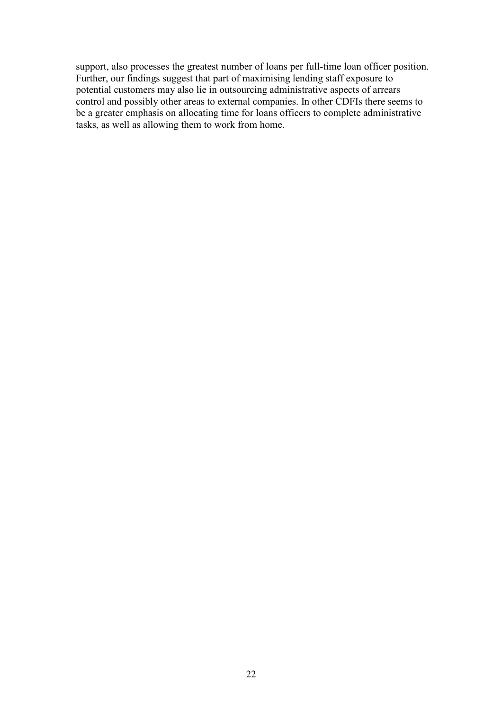support, also processes the greatest number of loans per full-time loan officer position. Further, our findings suggest that part of maximising lending staff exposure to potential customers may also lie in outsourcing administrative aspects of arrears control and possibly other areas to external companies. In other CDFIs there seems to be a greater emphasis on allocating time for loans officers to complete administrative tasks, as well as allowing them to work from home.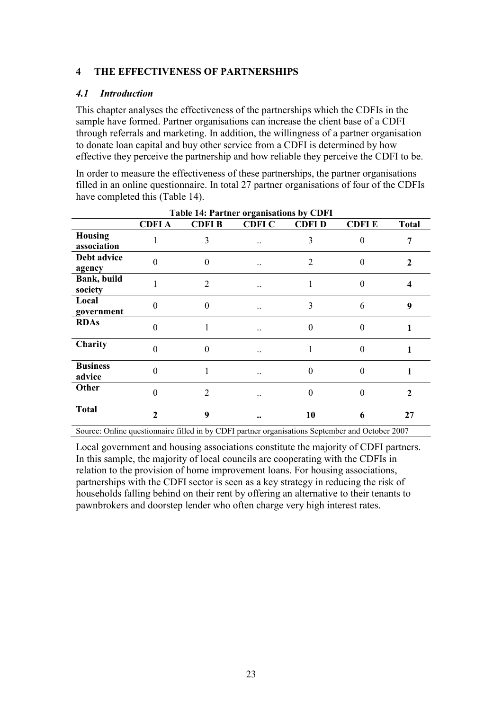#### 4 THE EFFECTIVENESS OF PARTNERSHIPS

#### 4.1 Introduction

This chapter analyses the effectiveness of the partnerships which the CDFIs in the sample have formed. Partner organisations can increase the client base of a CDFI through referrals and marketing. In addition, the willingness of a partner organisation to donate loan capital and buy other service from a CDFI is determined by how effective they perceive the partnership and how reliable they perceive the CDFI to be.

In order to measure the effectiveness of these partnerships, the partner organisations filled in an online questionnaire. In total 27 partner organisations of four of the CDFIs have completed this (Table 14).

|                               |                |                | Table 14: Partner organisations by CDFI |                |                |              |
|-------------------------------|----------------|----------------|-----------------------------------------|----------------|----------------|--------------|
|                               | <b>CDFIA</b>   | <b>CDFIB</b>   | <b>CDFI C</b>                           | <b>CDFID</b>   | <b>CDFIE</b>   | <b>Total</b> |
| <b>Housing</b><br>association |                | 3              |                                         | 3              | $\theta$       | 7            |
| Debt advice<br>agency         | 0              | $\theta$       |                                         | $\overline{2}$ | $\theta$       | $\mathbf{2}$ |
| Bank, build<br>society        |                | $\overline{2}$ |                                         |                | $\Omega$       | 4            |
| Local<br>government           | 0              | 0              |                                         | 3              | 6              | 9            |
| <b>RDAs</b>                   | $\Omega$       | 1              | $\ddotsc$                               | $\Omega$       | $\theta$       |              |
| Charity                       | $\Omega$       | 0              |                                         |                | $\overline{0}$ |              |
| <b>Business</b><br>advice     | $\Omega$       | 1              |                                         | $\Omega$       | $\theta$       |              |
| Other                         | 0              | $\overline{2}$ | . .                                     | $\Omega$       | $\overline{0}$ | $\mathbf 2$  |
| <b>Total</b>                  | $\mathfrak{D}$ | 9              |                                         | 10             | 6              | 27           |

Source: Online questionnaire filled in by CDFI partner organisations September and October 2007

Local government and housing associations constitute the majority of CDFI partners. In this sample, the majority of local councils are cooperating with the CDFIs in relation to the provision of home improvement loans. For housing associations, partnerships with the CDFI sector is seen as a key strategy in reducing the risk of households falling behind on their rent by offering an alternative to their tenants to pawnbrokers and doorstep lender who often charge very high interest rates.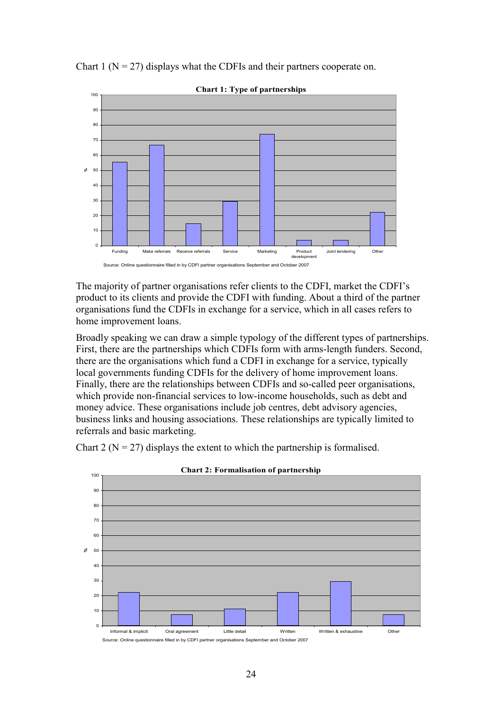Chart 1 ( $N = 27$ ) displays what the CDFIs and their partners cooperate on.



Chart 1: Type of partnerships

The majority of partner organisations refer clients to the CDFI, market the CDFI's product to its clients and provide the CDFI with funding. About a third of the partner organisations fund the CDFIs in exchange for a service, which in all cases refers to home improvement loans.

Broadly speaking we can draw a simple typology of the different types of partnerships. First, there are the partnerships which CDFIs form with arms-length funders. Second, there are the organisations which fund a CDFI in exchange for a service, typically local governments funding CDFIs for the delivery of home improvement loans. Finally, there are the relationships between CDFIs and so-called peer organisations, which provide non-financial services to low-income households, such as debt and money advice. These organisations include job centres, debt advisory agencies, business links and housing associations. These relationships are typically limited to referrals and basic marketing.

Chart 2 ( $N = 27$ ) displays the extent to which the partnership is formalised.



Chart 2: Formalisation of partnership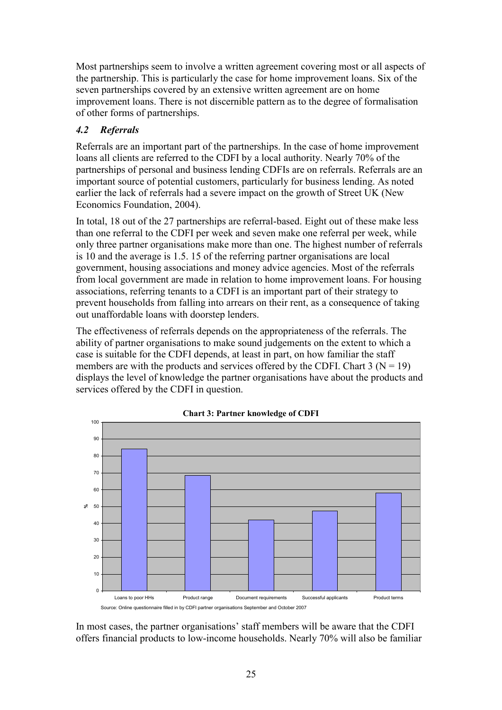Most partnerships seem to involve a written agreement covering most or all aspects of the partnership. This is particularly the case for home improvement loans. Six of the seven partnerships covered by an extensive written agreement are on home improvement loans. There is not discernible pattern as to the degree of formalisation of other forms of partnerships.

# 4.2 Referrals

Referrals are an important part of the partnerships. In the case of home improvement loans all clients are referred to the CDFI by a local authority. Nearly 70% of the partnerships of personal and business lending CDFIs are on referrals. Referrals are an important source of potential customers, particularly for business lending. As noted earlier the lack of referrals had a severe impact on the growth of Street UK (New Economics Foundation, 2004).

In total, 18 out of the 27 partnerships are referral-based. Eight out of these make less than one referral to the CDFI per week and seven make one referral per week, while only three partner organisations make more than one. The highest number of referrals is 10 and the average is 1.5. 15 of the referring partner organisations are local government, housing associations and money advice agencies. Most of the referrals from local government are made in relation to home improvement loans. For housing associations, referring tenants to a CDFI is an important part of their strategy to prevent households from falling into arrears on their rent, as a consequence of taking out unaffordable loans with doorstep lenders.

The effectiveness of referrals depends on the appropriateness of the referrals. The ability of partner organisations to make sound judgements on the extent to which a case is suitable for the CDFI depends, at least in part, on how familiar the staff members are with the products and services offered by the CDFI. Chart  $3 (N = 19)$ displays the level of knowledge the partner organisations have about the products and services offered by the CDFI in question.





Source: Online questionnaire filled in by CDFI partner organisations September and October 2007

In most cases, the partner organisations' staff members will be aware that the CDFI offers financial products to low-income households. Nearly 70% will also be familiar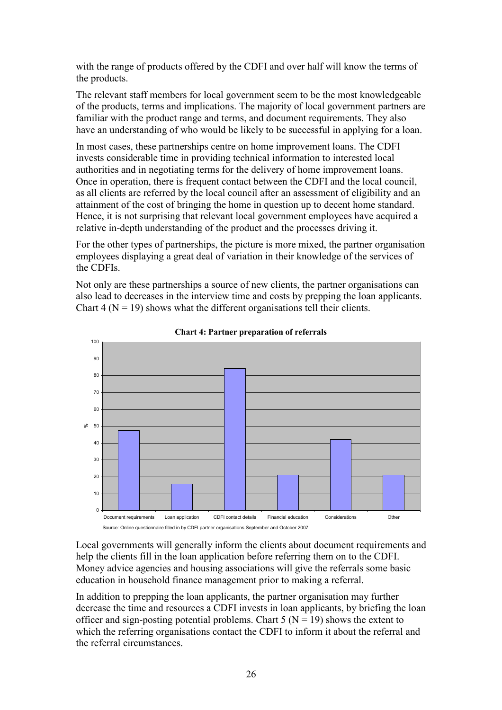with the range of products offered by the CDFI and over half will know the terms of the products.

The relevant staff members for local government seem to be the most knowledgeable of the products, terms and implications. The majority of local government partners are familiar with the product range and terms, and document requirements. They also have an understanding of who would be likely to be successful in applying for a loan.

In most cases, these partnerships centre on home improvement loans. The CDFI invests considerable time in providing technical information to interested local authorities and in negotiating terms for the delivery of home improvement loans. Once in operation, there is frequent contact between the CDFI and the local council, as all clients are referred by the local council after an assessment of eligibility and an attainment of the cost of bringing the home in question up to decent home standard. Hence, it is not surprising that relevant local government employees have acquired a relative in-depth understanding of the product and the processes driving it.

For the other types of partnerships, the picture is more mixed, the partner organisation employees displaying a great deal of variation in their knowledge of the services of the CDFIs.

Not only are these partnerships a source of new clients, the partner organisations can also lead to decreases in the interview time and costs by prepping the loan applicants. Chart 4 ( $N = 19$ ) shows what the different organisations tell their clients.





Local governments will generally inform the clients about document requirements and help the clients fill in the loan application before referring them on to the CDFI. Money advice agencies and housing associations will give the referrals some basic education in household finance management prior to making a referral.

In addition to prepping the loan applicants, the partner organisation may further decrease the time and resources a CDFI invests in loan applicants, by briefing the loan officer and sign-posting potential problems. Chart  $5 (N = 19)$  shows the extent to which the referring organisations contact the CDFI to inform it about the referral and the referral circumstances.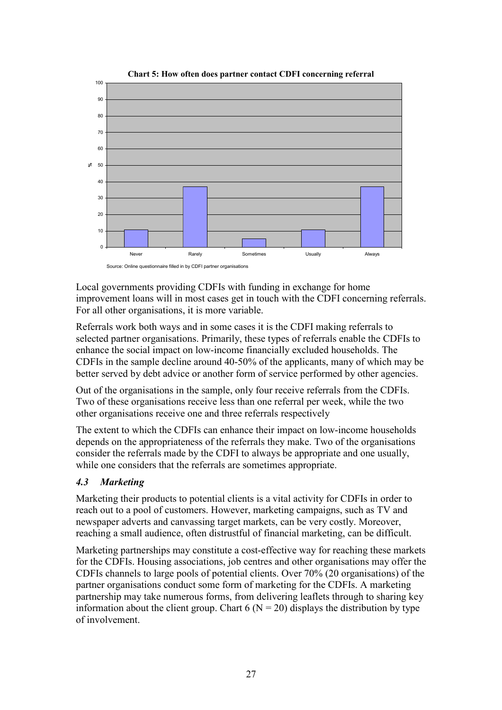

Local governments providing CDFIs with funding in exchange for home improvement loans will in most cases get in touch with the CDFI concerning referrals. For all other organisations, it is more variable.

Referrals work both ways and in some cases it is the CDFI making referrals to selected partner organisations. Primarily, these types of referrals enable the CDFIs to enhance the social impact on low-income financially excluded households. The CDFIs in the sample decline around 40-50% of the applicants, many of which may be better served by debt advice or another form of service performed by other agencies.

Out of the organisations in the sample, only four receive referrals from the CDFIs. Two of these organisations receive less than one referral per week, while the two other organisations receive one and three referrals respectively

The extent to which the CDFIs can enhance their impact on low-income households depends on the appropriateness of the referrals they make. Two of the organisations consider the referrals made by the CDFI to always be appropriate and one usually, while one considers that the referrals are sometimes appropriate.

#### 4.3 Marketing

Marketing their products to potential clients is a vital activity for CDFIs in order to reach out to a pool of customers. However, marketing campaigns, such as TV and newspaper adverts and canvassing target markets, can be very costly. Moreover, reaching a small audience, often distrustful of financial marketing, can be difficult.

Marketing partnerships may constitute a cost-effective way for reaching these markets for the CDFIs. Housing associations, job centres and other organisations may offer the CDFIs channels to large pools of potential clients. Over 70% (20 organisations) of the partner organisations conduct some form of marketing for the CDFIs. A marketing partnership may take numerous forms, from delivering leaflets through to sharing key information about the client group. Chart 6 ( $N = 20$ ) displays the distribution by type of involvement.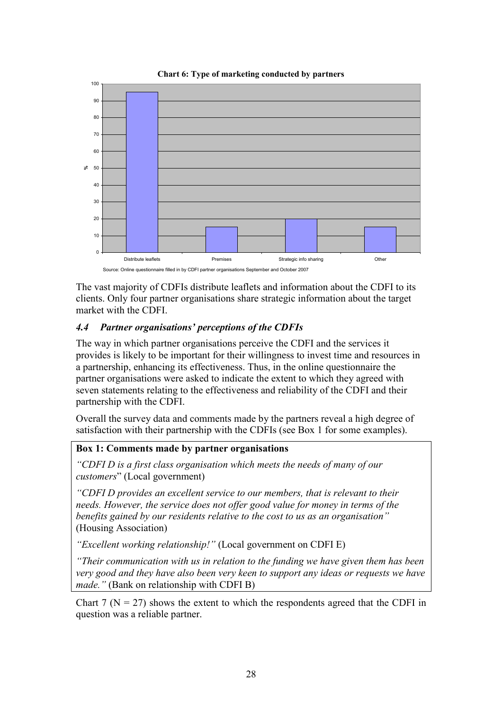

The vast majority of CDFIs distribute leaflets and information about the CDFI to its clients. Only four partner organisations share strategic information about the target market with the CDFI.

# 4.4 Partner organisations' perceptions of the CDFIs

The way in which partner organisations perceive the CDFI and the services it provides is likely to be important for their willingness to invest time and resources in a partnership, enhancing its effectiveness. Thus, in the online questionnaire the partner organisations were asked to indicate the extent to which they agreed with seven statements relating to the effectiveness and reliability of the CDFI and their partnership with the CDFI.

Overall the survey data and comments made by the partners reveal a high degree of satisfaction with their partnership with the CDFIs (see Box 1 for some examples).

#### Box 1: Comments made by partner organisations

"CDFI D is a first class organisation which meets the needs of many of our customers" (Local government)

"CDFI D provides an excellent service to our members, that is relevant to their needs. However, the service does not offer good value for money in terms of the benefits gained by our residents relative to the cost to us as an organisation" (Housing Association)

"Excellent working relationship!" (Local government on CDFI E)

"Their communication with us in relation to the funding we have given them has been very good and they have also been very keen to support any ideas or requests we have made." (Bank on relationship with CDFI B)

Chart 7 ( $N = 27$ ) shows the extent to which the respondents agreed that the CDFI in question was a reliable partner.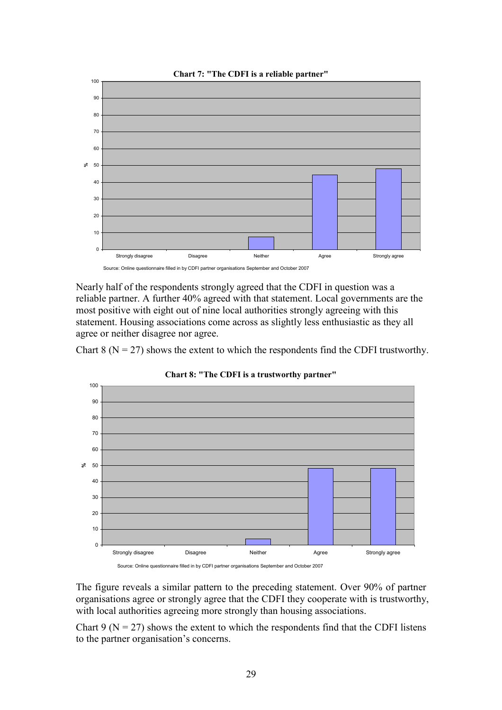

Nearly half of the respondents strongly agreed that the CDFI in question was a reliable partner. A further 40% agreed with that statement. Local governments are the most positive with eight out of nine local authorities strongly agreeing with this statement. Housing associations come across as slightly less enthusiastic as they all agree or neither disagree nor agree.

Chart 8 ( $N = 27$ ) shows the extent to which the respondents find the CDFI trustworthy.



Chart 8: "The CDFI is a trustworthy partner"

The figure reveals a similar pattern to the preceding statement. Over 90% of partner organisations agree or strongly agree that the CDFI they cooperate with is trustworthy, with local authorities agreeing more strongly than housing associations.

Chart 9 ( $N = 27$ ) shows the extent to which the respondents find that the CDFI listens to the partner organisation's concerns.

Source: Online questionnaire filled in by CDFI partner organisations September and October 2007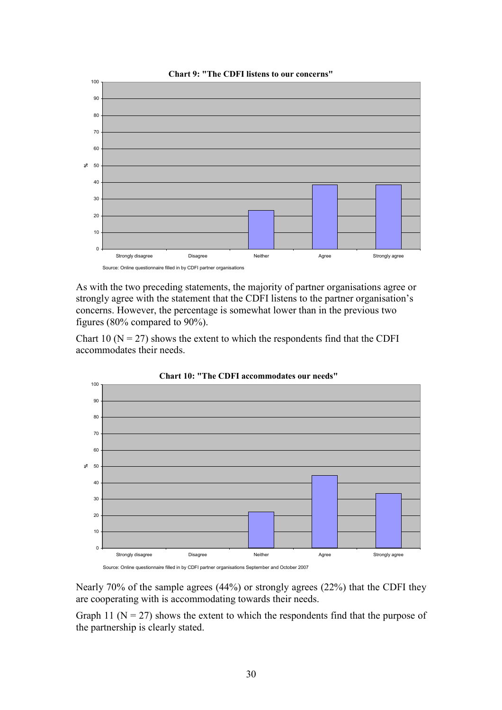

As with the two preceding statements, the majority of partner organisations agree or strongly agree with the statement that the CDFI listens to the partner organisation's concerns. However, the percentage is somewhat lower than in the previous two figures (80% compared to 90%).

Chart 10 ( $N = 27$ ) shows the extent to which the respondents find that the CDFI accommodates their needs.



Chart 10: "The CDFI accommodates our needs"

Source: Online questionnaire filled in by CDFI partner organisations September and October 2007

Nearly 70% of the sample agrees (44%) or strongly agrees (22%) that the CDFI they are cooperating with is accommodating towards their needs.

Graph 11 ( $N = 27$ ) shows the extent to which the respondents find that the purpose of the partnership is clearly stated.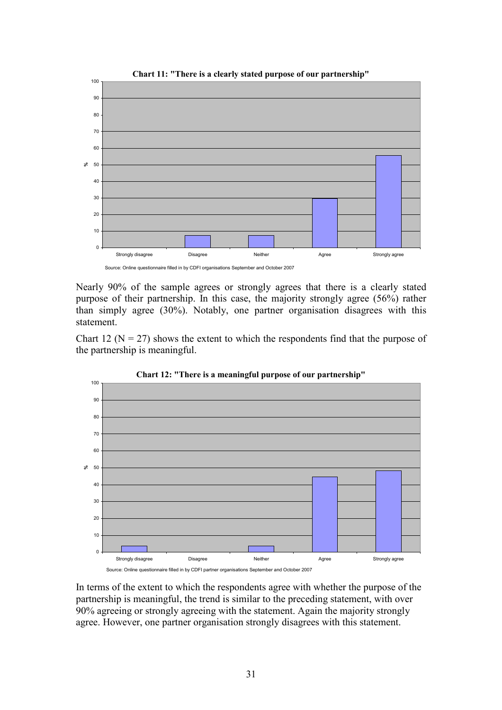

Nearly 90% of the sample agrees or strongly agrees that there is a clearly stated purpose of their partnership. In this case, the majority strongly agree (56%) rather than simply agree (30%). Notably, one partner organisation disagrees with this statement.

Chart 12 ( $N = 27$ ) shows the extent to which the respondents find that the purpose of the partnership is meaningful.



Chart 12: "There is a meaningful purpose of our partnership"

In terms of the extent to which the respondents agree with whether the purpose of the partnership is meaningful, the trend is similar to the preceding statement, with over 90% agreeing or strongly agreeing with the statement. Again the majority strongly agree. However, one partner organisation strongly disagrees with this statement.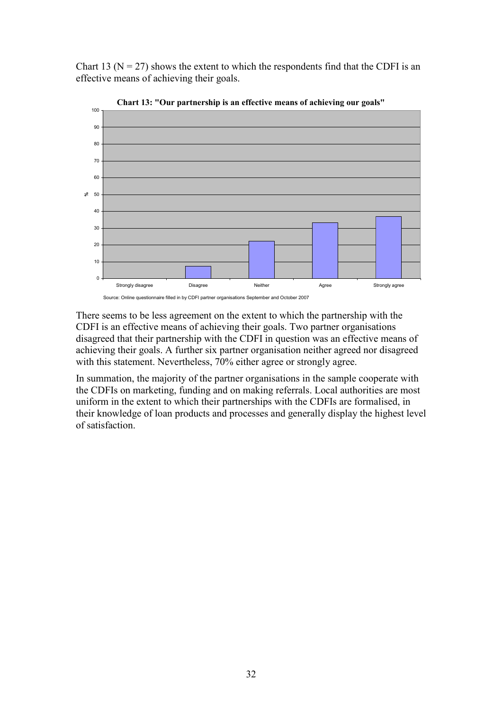Chart 13 ( $N = 27$ ) shows the extent to which the respondents find that the CDFI is an effective means of achieving their goals.



Chart 13: "Our partnership is an effective means of achieving our goals"

There seems to be less agreement on the extent to which the partnership with the CDFI is an effective means of achieving their goals. Two partner organisations disagreed that their partnership with the CDFI in question was an effective means of achieving their goals. A further six partner organisation neither agreed nor disagreed with this statement. Nevertheless, 70% either agree or strongly agree.

In summation, the majority of the partner organisations in the sample cooperate with the CDFIs on marketing, funding and on making referrals. Local authorities are most uniform in the extent to which their partnerships with the CDFIs are formalised, in their knowledge of loan products and processes and generally display the highest level of satisfaction.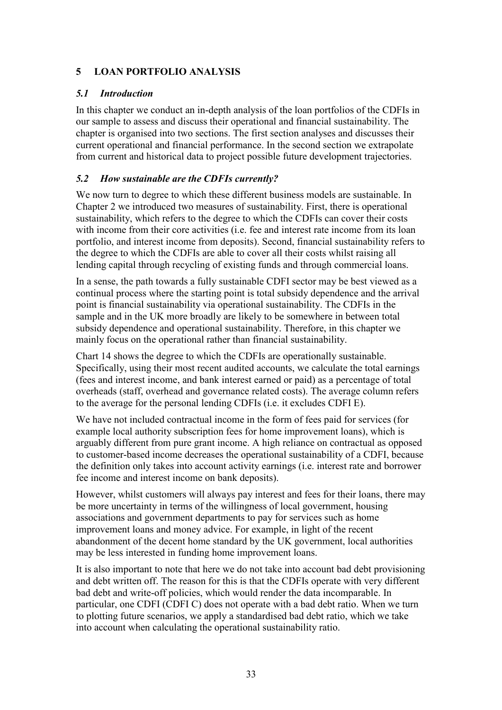### 5 LOAN PORTFOLIO ANALYSIS

# 5.1 Introduction

In this chapter we conduct an in-depth analysis of the loan portfolios of the CDFIs in our sample to assess and discuss their operational and financial sustainability. The chapter is organised into two sections. The first section analyses and discusses their current operational and financial performance. In the second section we extrapolate from current and historical data to project possible future development trajectories.

# 5.2 How sustainable are the CDFIs currently?

We now turn to degree to which these different business models are sustainable. In Chapter 2 we introduced two measures of sustainability. First, there is operational sustainability, which refers to the degree to which the CDFIs can cover their costs with income from their core activities (i.e. fee and interest rate income from its loan portfolio, and interest income from deposits). Second, financial sustainability refers to the degree to which the CDFIs are able to cover all their costs whilst raising all lending capital through recycling of existing funds and through commercial loans.

In a sense, the path towards a fully sustainable CDFI sector may be best viewed as a continual process where the starting point is total subsidy dependence and the arrival point is financial sustainability via operational sustainability. The CDFIs in the sample and in the UK more broadly are likely to be somewhere in between total subsidy dependence and operational sustainability. Therefore, in this chapter we mainly focus on the operational rather than financial sustainability.

Chart 14 shows the degree to which the CDFIs are operationally sustainable. Specifically, using their most recent audited accounts, we calculate the total earnings (fees and interest income, and bank interest earned or paid) as a percentage of total overheads (staff, overhead and governance related costs). The average column refers to the average for the personal lending CDFIs (i.e. it excludes CDFI E).

We have not included contractual income in the form of fees paid for services (for example local authority subscription fees for home improvement loans), which is arguably different from pure grant income. A high reliance on contractual as opposed to customer-based income decreases the operational sustainability of a CDFI, because the definition only takes into account activity earnings (i.e. interest rate and borrower fee income and interest income on bank deposits).

However, whilst customers will always pay interest and fees for their loans, there may be more uncertainty in terms of the willingness of local government, housing associations and government departments to pay for services such as home improvement loans and money advice. For example, in light of the recent abandonment of the decent home standard by the UK government, local authorities may be less interested in funding home improvement loans.

It is also important to note that here we do not take into account bad debt provisioning and debt written off. The reason for this is that the CDFIs operate with very different bad debt and write-off policies, which would render the data incomparable. In particular, one CDFI (CDFI C) does not operate with a bad debt ratio. When we turn to plotting future scenarios, we apply a standardised bad debt ratio, which we take into account when calculating the operational sustainability ratio.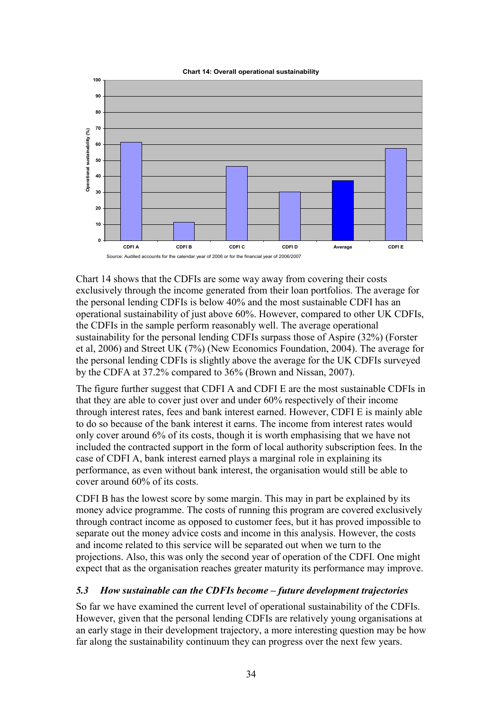Chart 14: Overall operational sustainability



Chart 14 shows that the CDFIs are some way away from covering their costs exclusively through the income generated from their loan portfolios. The average for the personal lending CDFIs is below 40% and the most sustainable CDFI has an operational sustainability of just above 60%. However, compared to other UK CDFIs, the CDFIs in the sample perform reasonably well. The average operational sustainability for the personal lending CDFIs surpass those of Aspire (32%) (Forster et al, 2006) and Street UK (7%) (New Economics Foundation, 2004). The average for the personal lending CDFIs is slightly above the average for the UK CDFIs surveyed by the CDFA at 37.2% compared to 36% (Brown and Nissan, 2007).

The figure further suggest that CDFI A and CDFI E are the most sustainable CDFIs in that they are able to cover just over and under 60% respectively of their income through interest rates, fees and bank interest earned. However, CDFI E is mainly able to do so because of the bank interest it earns. The income from interest rates would only cover around 6% of its costs, though it is worth emphasising that we have not included the contracted support in the form of local authority subscription fees. In the case of CDFI A, bank interest earned plays a marginal role in explaining its performance, as even without bank interest, the organisation would still be able to cover around 60% of its costs.

CDFI B has the lowest score by some margin. This may in part be explained by its money advice programme. The costs of running this program are covered exclusively through contract income as opposed to customer fees, but it has proved impossible to separate out the money advice costs and income in this analysis. However, the costs and income related to this service will be separated out when we turn to the projections. Also, this was only the second year of operation of the CDFI. One might expect that as the organisation reaches greater maturity its performance may improve.

#### 5.3 How sustainable can the CDFIs become – future development trajectories

So far we have examined the current level of operational sustainability of the CDFIs. However, given that the personal lending CDFIs are relatively young organisations at an early stage in their development trajectory, a more interesting question may be how far along the sustainability continuum they can progress over the next few years.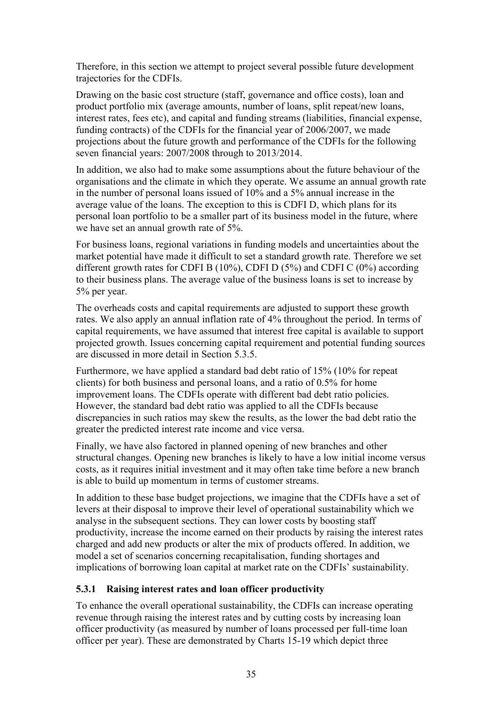Therefore, in this section we attempt to project several possible future development trajectories for the CDFIs.

Drawing on the basic cost structure (staff, governance and office costs), loan and product portfolio mix (average amounts, number of loans, split repeat/new loans, interest rates, fees etc), and capital and funding streams (liabilities, financial expense, funding contracts) of the CDFIs for the financial year of 2006/2007, we made projections about the future growth and performance of the CDFIs for the following seven financial years: 2007/2008 through to 2013/2014.

In addition, we also had to make some assumptions about the future behaviour of the organisations and the climate in which they operate. We assume an annual growth rate in the number of personal loans issued of 10% and a 5% annual increase in the average value of the loans. The exception to this is CDFI D, which plans for its personal loan portfolio to be a smaller part of its business model in the future, where we have set an annual growth rate of 5%.

For business loans, regional variations in funding models and uncertainties about the market potential have made it difficult to set a standard growth rate. Therefore we set different growth rates for CDFI B  $(10\%)$ , CDFI D  $(5\%)$  and CDFI C  $(0\%)$  according to their business plans. The average value of the business loans is set to increase by 5% per year.

The overheads costs and capital requirements are adjusted to support these growth rates. We also apply an annual inflation rate of 4% throughout the period. In terms of capital requirements, we have assumed that interest free capital is available to support projected growth. Issues concerning capital requirement and potential funding sources are discussed in more detail in Section 5.3.5.

Furthermore, we have applied a standard bad debt ratio of 15% (10% for repeat clients) for both business and personal loans, and a ratio of 0.5% for home improvement loans. The CDFIs operate with different bad debt ratio policies. However, the standard bad debt ratio was applied to all the CDFIs because discrepancies in such ratios may skew the results, as the lower the bad debt ratio the greater the predicted interest rate income and vice versa.

Finally, we have also factored in planned opening of new branches and other structural changes. Opening new branches is likely to have a low initial income versus costs, as it requires initial investment and it may often take time before a new branch is able to build up momentum in terms of customer streams.

In addition to these base budget projections, we imagine that the CDFIs have a set of levers at their disposal to improve their level of operational sustainability which we analyse in the subsequent sections. They can lower costs by boosting staff productivity, increase the income earned on their products by raising the interest rates charged and add new products or alter the mix of products offered. In addition, we model a set of scenarios concerning recapitalisation, funding shortages and implications of borrowing loan capital at market rate on the CDFIs' sustainability.

# 5.3.1 Raising interest rates and loan officer productivity

To enhance the overall operational sustainability, the CDFIs can increase operating revenue through raising the interest rates and by cutting costs by increasing loan officer productivity (as measured by number of loans processed per full-time loan officer per year). These are demonstrated by Charts 15-19 which depict three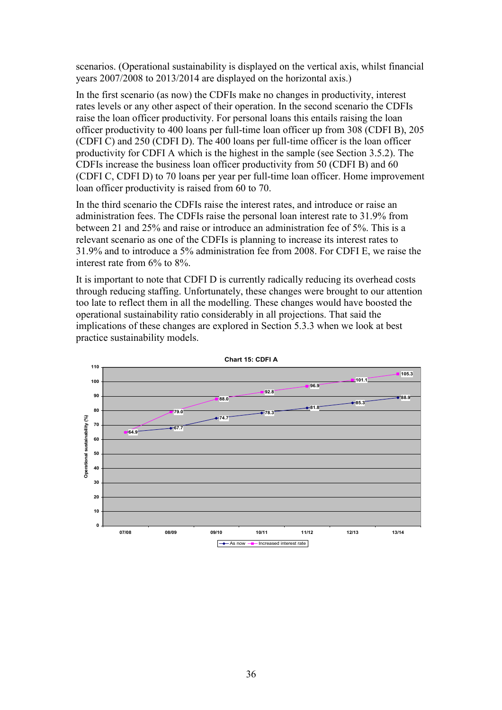scenarios. (Operational sustainability is displayed on the vertical axis, whilst financial years 2007/2008 to 2013/2014 are displayed on the horizontal axis.)

In the first scenario (as now) the CDFIs make no changes in productivity, interest rates levels or any other aspect of their operation. In the second scenario the CDFIs raise the loan officer productivity. For personal loans this entails raising the loan officer productivity to 400 loans per full-time loan officer up from 308 (CDFI B), 205 (CDFI C) and 250 (CDFI D). The 400 loans per full-time officer is the loan officer productivity for CDFI A which is the highest in the sample (see Section 3.5.2). The CDFIs increase the business loan officer productivity from 50 (CDFI B) and 60 (CDFI C, CDFI D) to 70 loans per year per full-time loan officer. Home improvement loan officer productivity is raised from 60 to 70.

In the third scenario the CDFIs raise the interest rates, and introduce or raise an administration fees. The CDFIs raise the personal loan interest rate to 31.9% from between 21 and 25% and raise or introduce an administration fee of 5%. This is a relevant scenario as one of the CDFIs is planning to increase its interest rates to 31.9% and to introduce a 5% administration fee from 2008. For CDFI E, we raise the interest rate from 6% to 8%.

It is important to note that CDFI D is currently radically reducing its overhead costs through reducing staffing. Unfortunately, these changes were brought to our attention too late to reflect them in all the modelling. These changes would have boosted the operational sustainability ratio considerably in all projections. That said the implications of these changes are explored in Section 5.3.3 when we look at best practice sustainability models.



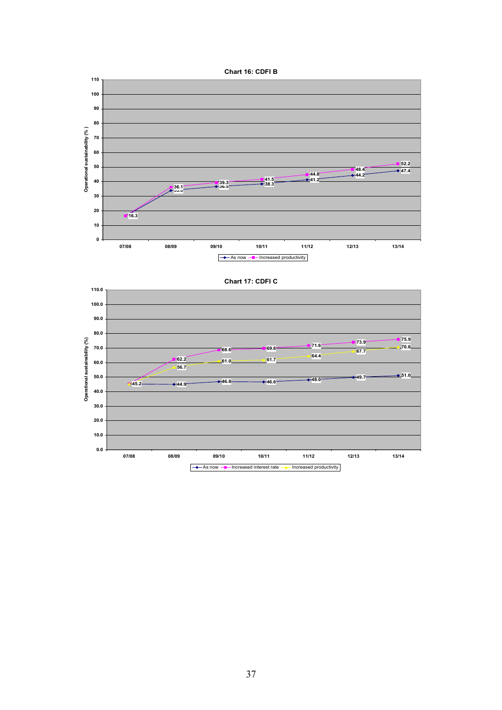





Chart 17: CDFI C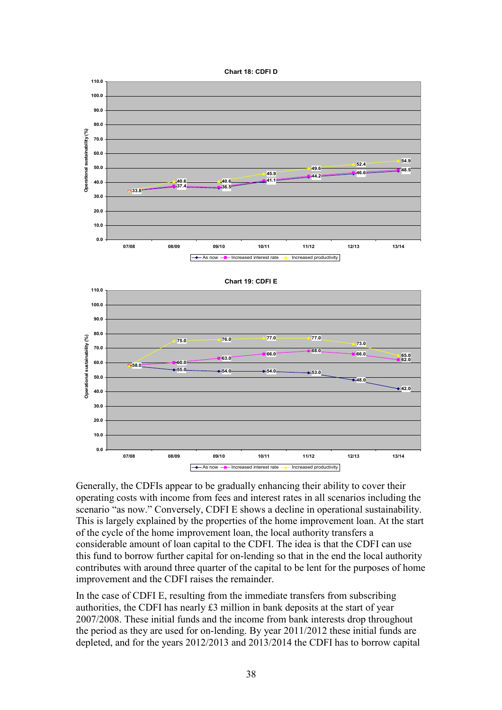





Generally, the CDFIs appear to be gradually enhancing their ability to cover their operating costs with income from fees and interest rates in all scenarios including the scenario "as now." Conversely, CDFI E shows a decline in operational sustainability. This is largely explained by the properties of the home improvement loan. At the start of the cycle of the home improvement loan, the local authority transfers a considerable amount of loan capital to the CDFI. The idea is that the CDFI can use this fund to borrow further capital for on-lending so that in the end the local authority contributes with around three quarter of the capital to be lent for the purposes of home improvement and the CDFI raises the remainder.

In the case of CDFI E, resulting from the immediate transfers from subscribing authorities, the CDFI has nearly £3 million in bank deposits at the start of year 2007/2008. These initial funds and the income from bank interests drop throughout the period as they are used for on-lending. By year 2011/2012 these initial funds are depleted, and for the years 2012/2013 and 2013/2014 the CDFI has to borrow capital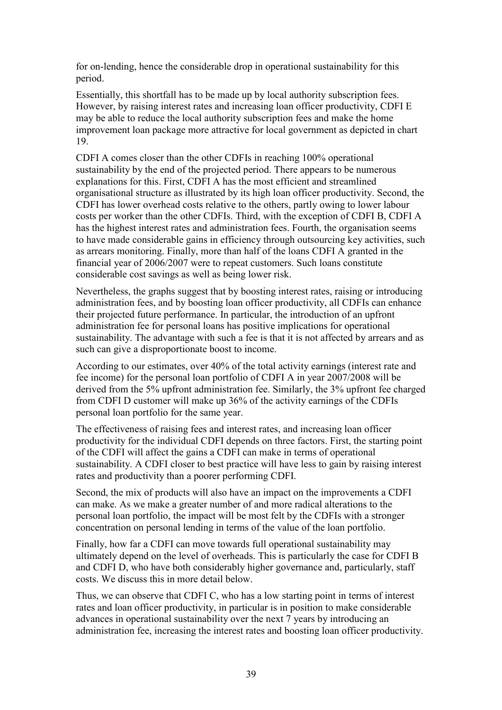for on-lending, hence the considerable drop in operational sustainability for this period.

Essentially, this shortfall has to be made up by local authority subscription fees. However, by raising interest rates and increasing loan officer productivity, CDFI E may be able to reduce the local authority subscription fees and make the home improvement loan package more attractive for local government as depicted in chart 19.

CDFI A comes closer than the other CDFIs in reaching 100% operational sustainability by the end of the projected period. There appears to be numerous explanations for this. First, CDFI A has the most efficient and streamlined organisational structure as illustrated by its high loan officer productivity. Second, the CDFI has lower overhead costs relative to the others, partly owing to lower labour costs per worker than the other CDFIs. Third, with the exception of CDFI B, CDFI A has the highest interest rates and administration fees. Fourth, the organisation seems to have made considerable gains in efficiency through outsourcing key activities, such as arrears monitoring. Finally, more than half of the loans CDFI A granted in the financial year of 2006/2007 were to repeat customers. Such loans constitute considerable cost savings as well as being lower risk.

Nevertheless, the graphs suggest that by boosting interest rates, raising or introducing administration fees, and by boosting loan officer productivity, all CDFIs can enhance their projected future performance. In particular, the introduction of an upfront administration fee for personal loans has positive implications for operational sustainability. The advantage with such a fee is that it is not affected by arrears and as such can give a disproportionate boost to income.

According to our estimates, over 40% of the total activity earnings (interest rate and fee income) for the personal loan portfolio of CDFI A in year 2007/2008 will be derived from the 5% upfront administration fee. Similarly, the 3% upfront fee charged from CDFI D customer will make up 36% of the activity earnings of the CDFIs personal loan portfolio for the same year.

The effectiveness of raising fees and interest rates, and increasing loan officer productivity for the individual CDFI depends on three factors. First, the starting point of the CDFI will affect the gains a CDFI can make in terms of operational sustainability. A CDFI closer to best practice will have less to gain by raising interest rates and productivity than a poorer performing CDFI.

Second, the mix of products will also have an impact on the improvements a CDFI can make. As we make a greater number of and more radical alterations to the personal loan portfolio, the impact will be most felt by the CDFIs with a stronger concentration on personal lending in terms of the value of the loan portfolio.

Finally, how far a CDFI can move towards full operational sustainability may ultimately depend on the level of overheads. This is particularly the case for CDFI B and CDFI D, who have both considerably higher governance and, particularly, staff costs. We discuss this in more detail below.

Thus, we can observe that CDFI C, who has a low starting point in terms of interest rates and loan officer productivity, in particular is in position to make considerable advances in operational sustainability over the next 7 years by introducing an administration fee, increasing the interest rates and boosting loan officer productivity.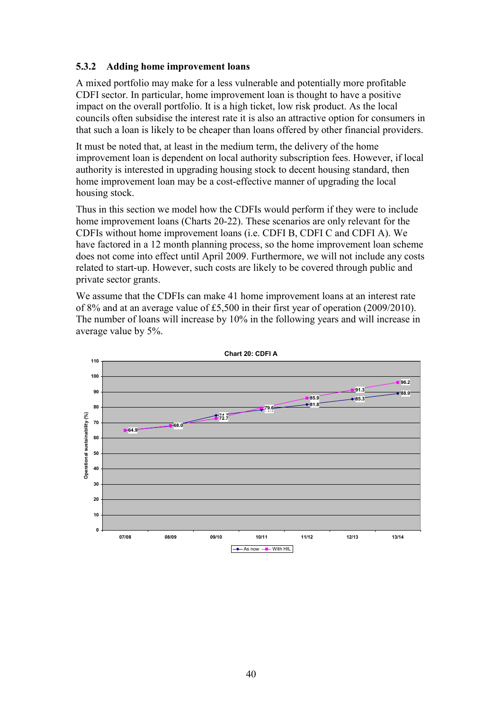#### 5.3.2 Adding home improvement loans

A mixed portfolio may make for a less vulnerable and potentially more profitable CDFI sector. In particular, home improvement loan is thought to have a positive impact on the overall portfolio. It is a high ticket, low risk product. As the local councils often subsidise the interest rate it is also an attractive option for consumers in that such a loan is likely to be cheaper than loans offered by other financial providers.

It must be noted that, at least in the medium term, the delivery of the home improvement loan is dependent on local authority subscription fees. However, if local authority is interested in upgrading housing stock to decent housing standard, then home improvement loan may be a cost-effective manner of upgrading the local housing stock.

Thus in this section we model how the CDFIs would perform if they were to include home improvement loans (Charts 20-22). These scenarios are only relevant for the CDFIs without home improvement loans (i.e. CDFI B, CDFI C and CDFI A). We have factored in a 12 month planning process, so the home improvement loan scheme does not come into effect until April 2009. Furthermore, we will not include any costs related to start-up. However, such costs are likely to be covered through public and private sector grants.

We assume that the CDFIs can make 41 home improvement loans at an interest rate of 8% and at an average value of £5,500 in their first year of operation (2009/2010). The number of loans will increase by 10% in the following years and will increase in average value by 5%.



Chart 20: CDFI A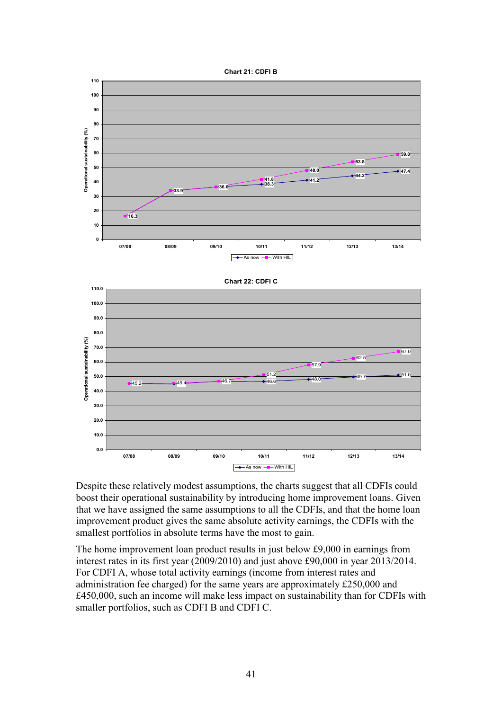



Despite these relatively modest assumptions, the charts suggest that all CDFIs could boost their operational sustainability by introducing home improvement loans. Given that we have assigned the same assumptions to all the CDFIs, and that the home loan improvement product gives the same absolute activity earnings, the CDFIs with the smallest portfolios in absolute terms have the most to gain.

The home improvement loan product results in just below £9,000 in earnings from interest rates in its first year (2009/2010) and just above £90,000 in year 2013/2014. For CDFI A, whose total activity earnings (income from interest rates and administration fee charged) for the same years are approximately £250,000 and £450,000, such an income will make less impact on sustainability than for CDFIs with smaller portfolios, such as CDFI B and CDFI C.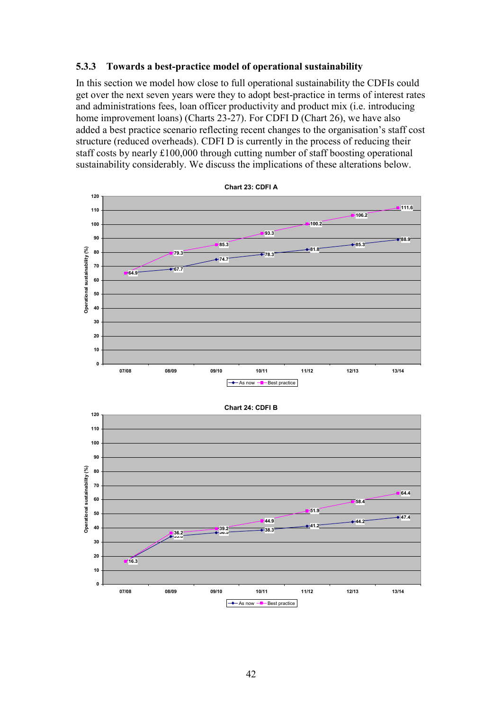#### 5.3.3 Towards a best-practice model of operational sustainability

In this section we model how close to full operational sustainability the CDFIs could get over the next seven years were they to adopt best-practice in terms of interest rates and administrations fees, loan officer productivity and product mix (i.e. introducing home improvement loans) (Charts 23-27). For CDFI D (Chart 26), we have also added a best practice scenario reflecting recent changes to the organisation's staff cost structure (reduced overheads). CDFI D is currently in the process of reducing their staff costs by nearly £100,000 through cutting number of staff boosting operational sustainability considerably. We discuss the implications of these alterations below.



Chart 23: CDFI A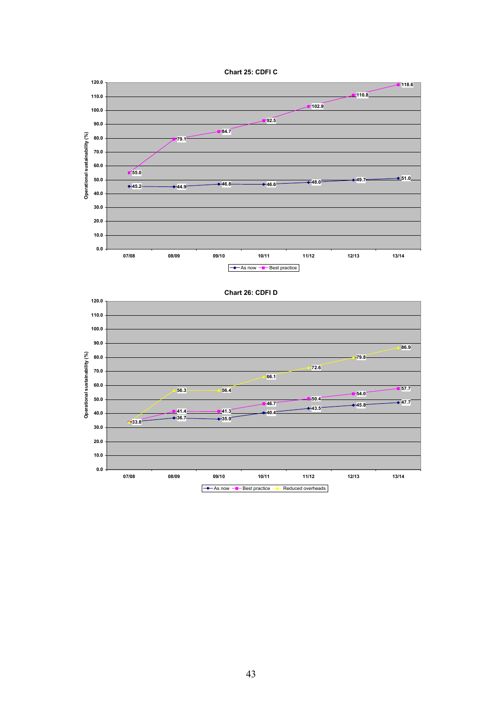



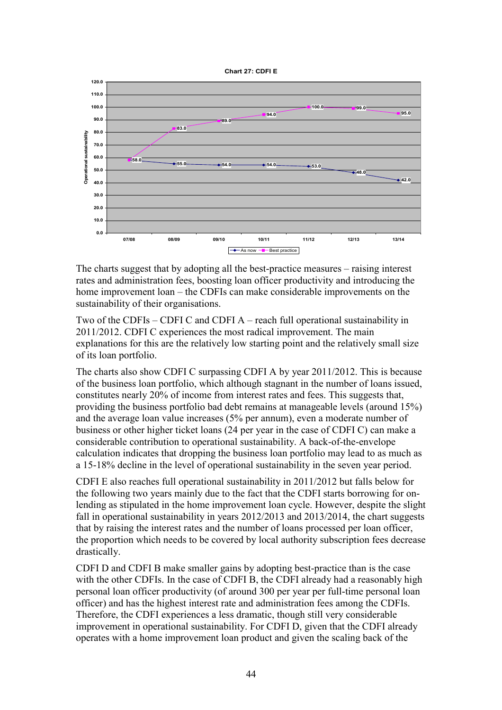



The charts suggest that by adopting all the best-practice measures – raising interest rates and administration fees, boosting loan officer productivity and introducing the home improvement loan – the CDFIs can make considerable improvements on the sustainability of their organisations.

Two of the CDFIs – CDFI C and CDFI A – reach full operational sustainability in 2011/2012. CDFI C experiences the most radical improvement. The main explanations for this are the relatively low starting point and the relatively small size of its loan portfolio.

The charts also show CDFI C surpassing CDFI A by year 2011/2012. This is because of the business loan portfolio, which although stagnant in the number of loans issued, constitutes nearly 20% of income from interest rates and fees. This suggests that, providing the business portfolio bad debt remains at manageable levels (around 15%) and the average loan value increases (5% per annum), even a moderate number of business or other higher ticket loans (24 per year in the case of CDFI C) can make a considerable contribution to operational sustainability. A back-of-the-envelope calculation indicates that dropping the business loan portfolio may lead to as much as a 15-18% decline in the level of operational sustainability in the seven year period.

CDFI E also reaches full operational sustainability in 2011/2012 but falls below for the following two years mainly due to the fact that the CDFI starts borrowing for onlending as stipulated in the home improvement loan cycle. However, despite the slight fall in operational sustainability in years 2012/2013 and 2013/2014, the chart suggests that by raising the interest rates and the number of loans processed per loan officer, the proportion which needs to be covered by local authority subscription fees decrease drastically.

CDFI D and CDFI B make smaller gains by adopting best-practice than is the case with the other CDFIs. In the case of CDFI B, the CDFI already had a reasonably high personal loan officer productivity (of around 300 per year per full-time personal loan officer) and has the highest interest rate and administration fees among the CDFIs. Therefore, the CDFI experiences a less dramatic, though still very considerable improvement in operational sustainability. For CDFI D, given that the CDFI already operates with a home improvement loan product and given the scaling back of the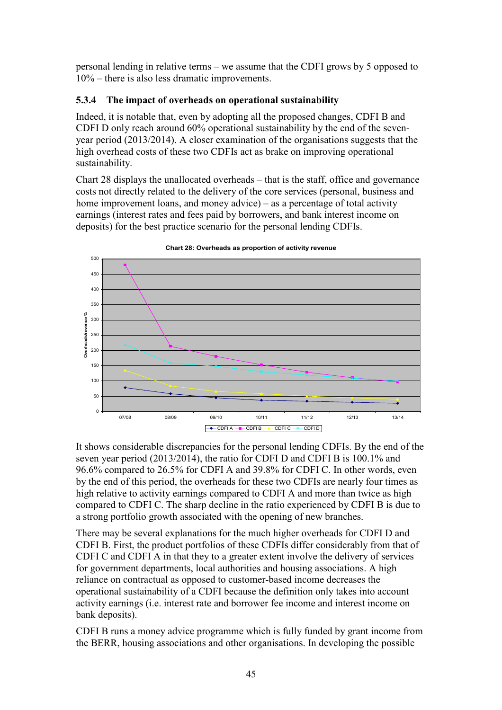personal lending in relative terms – we assume that the CDFI grows by 5 opposed to 10% – there is also less dramatic improvements.

### 5.3.4 The impact of overheads on operational sustainability

Indeed, it is notable that, even by adopting all the proposed changes, CDFI B and CDFI D only reach around 60% operational sustainability by the end of the sevenyear period (2013/2014). A closer examination of the organisations suggests that the high overhead costs of these two CDFIs act as brake on improving operational sustainability.

Chart 28 displays the unallocated overheads – that is the staff, office and governance costs not directly related to the delivery of the core services (personal, business and home improvement loans, and money advice) – as a percentage of total activity earnings (interest rates and fees paid by borrowers, and bank interest income on deposits) for the best practice scenario for the personal lending CDFIs.



Chart 28: Overheads as proportion of activity revenue

It shows considerable discrepancies for the personal lending CDFIs. By the end of the seven year period (2013/2014), the ratio for CDFI D and CDFI B is 100.1% and 96.6% compared to 26.5% for CDFI A and 39.8% for CDFI C. In other words, even by the end of this period, the overheads for these two CDFIs are nearly four times as high relative to activity earnings compared to CDFI A and more than twice as high compared to CDFI C. The sharp decline in the ratio experienced by CDFI B is due to a strong portfolio growth associated with the opening of new branches.

There may be several explanations for the much higher overheads for CDFI D and CDFI B. First, the product portfolios of these CDFIs differ considerably from that of CDFI C and CDFI A in that they to a greater extent involve the delivery of services for government departments, local authorities and housing associations. A high reliance on contractual as opposed to customer-based income decreases the operational sustainability of a CDFI because the definition only takes into account activity earnings (i.e. interest rate and borrower fee income and interest income on bank deposits).

CDFI B runs a money advice programme which is fully funded by grant income from the BERR, housing associations and other organisations. In developing the possible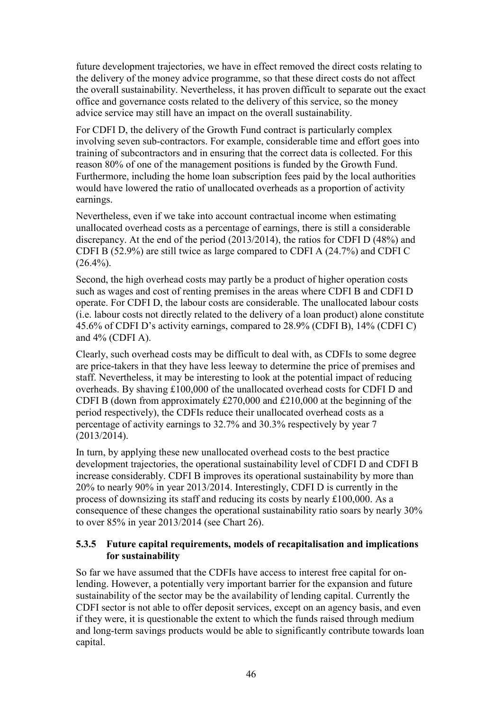future development trajectories, we have in effect removed the direct costs relating to the delivery of the money advice programme, so that these direct costs do not affect the overall sustainability. Nevertheless, it has proven difficult to separate out the exact office and governance costs related to the delivery of this service, so the money advice service may still have an impact on the overall sustainability.

For CDFI D, the delivery of the Growth Fund contract is particularly complex involving seven sub-contractors. For example, considerable time and effort goes into training of subcontractors and in ensuring that the correct data is collected. For this reason 80% of one of the management positions is funded by the Growth Fund. Furthermore, including the home loan subscription fees paid by the local authorities would have lowered the ratio of unallocated overheads as a proportion of activity earnings.

Nevertheless, even if we take into account contractual income when estimating unallocated overhead costs as a percentage of earnings, there is still a considerable discrepancy. At the end of the period (2013/2014), the ratios for CDFI D (48%) and CDFI B (52.9%) are still twice as large compared to CDFI A (24.7%) and CDFI C  $(26.4\%)$ .

Second, the high overhead costs may partly be a product of higher operation costs such as wages and cost of renting premises in the areas where CDFI B and CDFI D operate. For CDFI D, the labour costs are considerable. The unallocated labour costs (i.e. labour costs not directly related to the delivery of a loan product) alone constitute 45.6% of CDFI D's activity earnings, compared to 28.9% (CDFI B), 14% (CDFI C) and 4% (CDFI A).

Clearly, such overhead costs may be difficult to deal with, as CDFIs to some degree are price-takers in that they have less leeway to determine the price of premises and staff. Nevertheless, it may be interesting to look at the potential impact of reducing overheads. By shaving £100,000 of the unallocated overhead costs for CDFI D and CDFI B (down from approximately £270,000 and £210,000 at the beginning of the period respectively), the CDFIs reduce their unallocated overhead costs as a percentage of activity earnings to 32.7% and 30.3% respectively by year 7 (2013/2014).

In turn, by applying these new unallocated overhead costs to the best practice development trajectories, the operational sustainability level of CDFI D and CDFI B increase considerably. CDFI B improves its operational sustainability by more than 20% to nearly 90% in year 2013/2014. Interestingly, CDFI D is currently in the process of downsizing its staff and reducing its costs by nearly £100,000. As a consequence of these changes the operational sustainability ratio soars by nearly 30% to over 85% in year 2013/2014 (see Chart 26).

#### 5.3.5 Future capital requirements, models of recapitalisation and implications for sustainability

So far we have assumed that the CDFIs have access to interest free capital for onlending. However, a potentially very important barrier for the expansion and future sustainability of the sector may be the availability of lending capital. Currently the CDFI sector is not able to offer deposit services, except on an agency basis, and even if they were, it is questionable the extent to which the funds raised through medium and long-term savings products would be able to significantly contribute towards loan capital.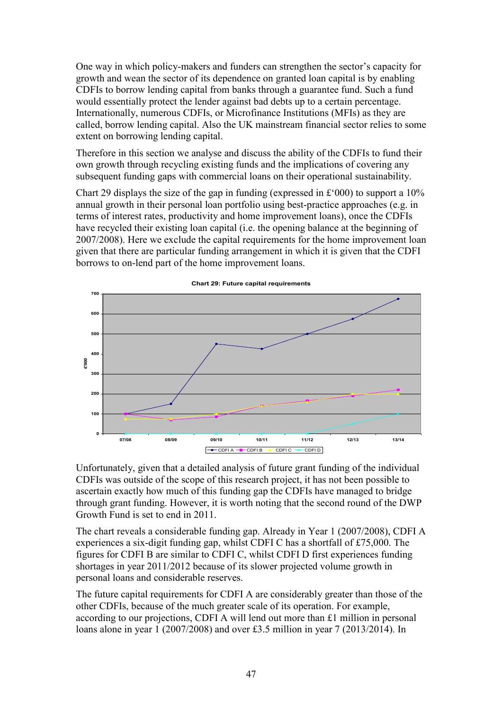One way in which policy-makers and funders can strengthen the sector's capacity for growth and wean the sector of its dependence on granted loan capital is by enabling CDFIs to borrow lending capital from banks through a guarantee fund. Such a fund would essentially protect the lender against bad debts up to a certain percentage. Internationally, numerous CDFIs, or Microfinance Institutions (MFIs) as they are called, borrow lending capital. Also the UK mainstream financial sector relies to some extent on borrowing lending capital.

Therefore in this section we analyse and discuss the ability of the CDFIs to fund their own growth through recycling existing funds and the implications of covering any subsequent funding gaps with commercial loans on their operational sustainability.

Chart 29 displays the size of the gap in funding (expressed in £'000) to support a 10% annual growth in their personal loan portfolio using best-practice approaches (e.g. in terms of interest rates, productivity and home improvement loans), once the CDFIs have recycled their existing loan capital (i.e. the opening balance at the beginning of 2007/2008). Here we exclude the capital requirements for the home improvement loan given that there are particular funding arrangement in which it is given that the CDFI borrows to on-lend part of the home improvement loans.



Chart 29: Future capital requirements

Unfortunately, given that a detailed analysis of future grant funding of the individual CDFIs was outside of the scope of this research project, it has not been possible to ascertain exactly how much of this funding gap the CDFIs have managed to bridge through grant funding. However, it is worth noting that the second round of the DWP Growth Fund is set to end in 2011.

The chart reveals a considerable funding gap. Already in Year 1 (2007/2008), CDFI A experiences a six-digit funding gap, whilst CDFI C has a shortfall of £75,000. The figures for CDFI B are similar to CDFI C, whilst CDFI D first experiences funding shortages in year 2011/2012 because of its slower projected volume growth in personal loans and considerable reserves.

The future capital requirements for CDFI A are considerably greater than those of the other CDFIs, because of the much greater scale of its operation. For example, according to our projections, CDFI A will lend out more than £1 million in personal loans alone in year 1 (2007/2008) and over £3.5 million in year 7 (2013/2014). In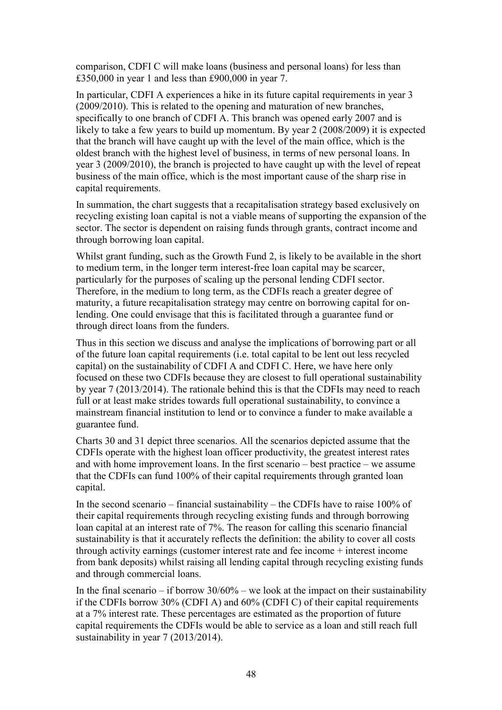comparison, CDFI C will make loans (business and personal loans) for less than £350,000 in year 1 and less than £900,000 in year 7.

In particular, CDFI A experiences a hike in its future capital requirements in year 3 (2009/2010). This is related to the opening and maturation of new branches, specifically to one branch of CDFI A. This branch was opened early 2007 and is likely to take a few years to build up momentum. By year 2 (2008/2009) it is expected that the branch will have caught up with the level of the main office, which is the oldest branch with the highest level of business, in terms of new personal loans. In year 3 (2009/2010), the branch is projected to have caught up with the level of repeat business of the main office, which is the most important cause of the sharp rise in capital requirements.

In summation, the chart suggests that a recapitalisation strategy based exclusively on recycling existing loan capital is not a viable means of supporting the expansion of the sector. The sector is dependent on raising funds through grants, contract income and through borrowing loan capital.

Whilst grant funding, such as the Growth Fund 2, is likely to be available in the short to medium term, in the longer term interest-free loan capital may be scarcer, particularly for the purposes of scaling up the personal lending CDFI sector. Therefore, in the medium to long term, as the CDFIs reach a greater degree of maturity, a future recapitalisation strategy may centre on borrowing capital for onlending. One could envisage that this is facilitated through a guarantee fund or through direct loans from the funders.

Thus in this section we discuss and analyse the implications of borrowing part or all of the future loan capital requirements (i.e. total capital to be lent out less recycled capital) on the sustainability of CDFI A and CDFI C. Here, we have here only focused on these two CDFIs because they are closest to full operational sustainability by year 7 (2013/2014). The rationale behind this is that the CDFIs may need to reach full or at least make strides towards full operational sustainability, to convince a mainstream financial institution to lend or to convince a funder to make available a guarantee fund.

Charts 30 and 31 depict three scenarios. All the scenarios depicted assume that the CDFIs operate with the highest loan officer productivity, the greatest interest rates and with home improvement loans. In the first scenario – best practice – we assume that the CDFIs can fund 100% of their capital requirements through granted loan capital.

In the second scenario – financial sustainability – the CDFIs have to raise 100% of their capital requirements through recycling existing funds and through borrowing loan capital at an interest rate of 7%. The reason for calling this scenario financial sustainability is that it accurately reflects the definition: the ability to cover all costs through activity earnings (customer interest rate and fee income + interest income from bank deposits) whilst raising all lending capital through recycling existing funds and through commercial loans.

In the final scenario – if borrow  $30/60\%$  – we look at the impact on their sustainability if the CDFIs borrow 30% (CDFI A) and 60% (CDFI C) of their capital requirements at a 7% interest rate. These percentages are estimated as the proportion of future capital requirements the CDFIs would be able to service as a loan and still reach full sustainability in year 7 (2013/2014).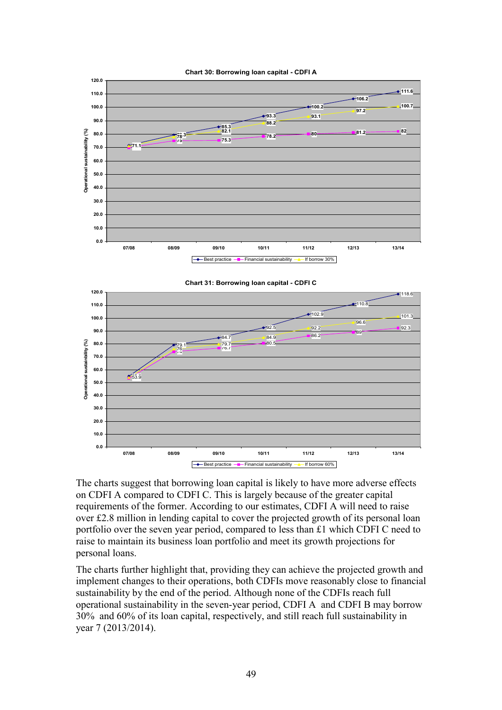

Chart 30: Borrowing loan capital - CDFI A



The charts suggest that borrowing loan capital is likely to have more adverse effects on CDFI A compared to CDFI C. This is largely because of the greater capital requirements of the former. According to our estimates, CDFI A will need to raise over £2.8 million in lending capital to cover the projected growth of its personal loan portfolio over the seven year period, compared to less than £1 which CDFI C need to raise to maintain its business loan portfolio and meet its growth projections for personal loans.

The charts further highlight that, providing they can achieve the projected growth and implement changes to their operations, both CDFIs move reasonably close to financial sustainability by the end of the period. Although none of the CDFIs reach full operational sustainability in the seven-year period, CDFI A and CDFI B may borrow 30% and 60% of its loan capital, respectively, and still reach full sustainability in year 7 (2013/2014).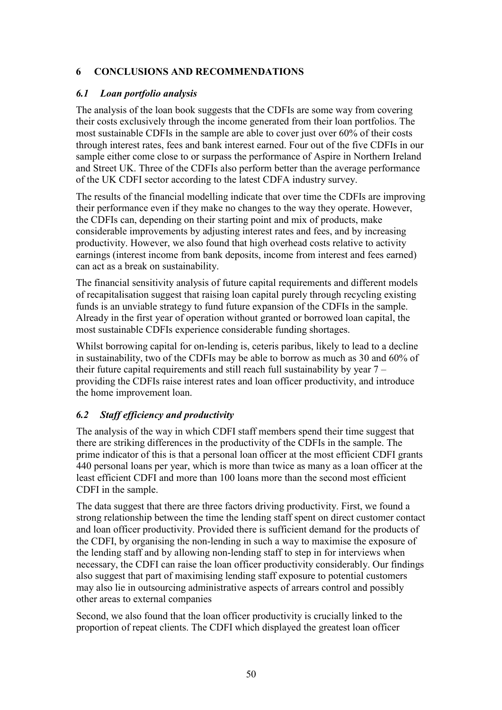# 6 CONCLUSIONS AND RECOMMENDATIONS

# 6.1 Loan portfolio analysis

The analysis of the loan book suggests that the CDFIs are some way from covering their costs exclusively through the income generated from their loan portfolios. The most sustainable CDFIs in the sample are able to cover just over 60% of their costs through interest rates, fees and bank interest earned. Four out of the five CDFIs in our sample either come close to or surpass the performance of Aspire in Northern Ireland and Street UK. Three of the CDFIs also perform better than the average performance of the UK CDFI sector according to the latest CDFA industry survey.

The results of the financial modelling indicate that over time the CDFIs are improving their performance even if they make no changes to the way they operate. However, the CDFIs can, depending on their starting point and mix of products, make considerable improvements by adjusting interest rates and fees, and by increasing productivity. However, we also found that high overhead costs relative to activity earnings (interest income from bank deposits, income from interest and fees earned) can act as a break on sustainability.

The financial sensitivity analysis of future capital requirements and different models of recapitalisation suggest that raising loan capital purely through recycling existing funds is an unviable strategy to fund future expansion of the CDFIs in the sample. Already in the first year of operation without granted or borrowed loan capital, the most sustainable CDFIs experience considerable funding shortages.

Whilst borrowing capital for on-lending is, ceteris paribus, likely to lead to a decline in sustainability, two of the CDFIs may be able to borrow as much as 30 and 60% of their future capital requirements and still reach full sustainability by year 7 – providing the CDFIs raise interest rates and loan officer productivity, and introduce the home improvement loan.

# 6.2 Staff efficiency and productivity

The analysis of the way in which CDFI staff members spend their time suggest that there are striking differences in the productivity of the CDFIs in the sample. The prime indicator of this is that a personal loan officer at the most efficient CDFI grants 440 personal loans per year, which is more than twice as many as a loan officer at the least efficient CDFI and more than 100 loans more than the second most efficient CDFI in the sample.

The data suggest that there are three factors driving productivity. First, we found a strong relationship between the time the lending staff spent on direct customer contact and loan officer productivity. Provided there is sufficient demand for the products of the CDFI, by organising the non-lending in such a way to maximise the exposure of the lending staff and by allowing non-lending staff to step in for interviews when necessary, the CDFI can raise the loan officer productivity considerably. Our findings also suggest that part of maximising lending staff exposure to potential customers may also lie in outsourcing administrative aspects of arrears control and possibly other areas to external companies

Second, we also found that the loan officer productivity is crucially linked to the proportion of repeat clients. The CDFI which displayed the greatest loan officer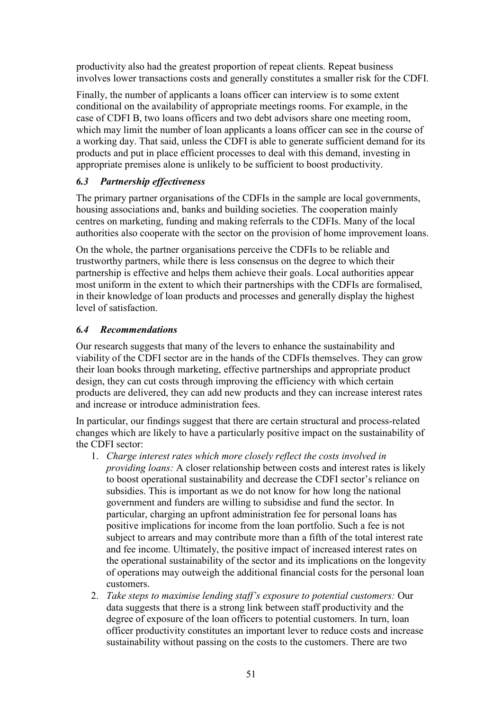productivity also had the greatest proportion of repeat clients. Repeat business involves lower transactions costs and generally constitutes a smaller risk for the CDFI.

Finally, the number of applicants a loans officer can interview is to some extent conditional on the availability of appropriate meetings rooms. For example, in the case of CDFI B, two loans officers and two debt advisors share one meeting room, which may limit the number of loan applicants a loans officer can see in the course of a working day. That said, unless the CDFI is able to generate sufficient demand for its products and put in place efficient processes to deal with this demand, investing in appropriate premises alone is unlikely to be sufficient to boost productivity.

# 6.3 Partnership effectiveness

The primary partner organisations of the CDFIs in the sample are local governments, housing associations and, banks and building societies. The cooperation mainly centres on marketing, funding and making referrals to the CDFIs. Many of the local authorities also cooperate with the sector on the provision of home improvement loans.

On the whole, the partner organisations perceive the CDFIs to be reliable and trustworthy partners, while there is less consensus on the degree to which their partnership is effective and helps them achieve their goals. Local authorities appear most uniform in the extent to which their partnerships with the CDFIs are formalised, in their knowledge of loan products and processes and generally display the highest level of satisfaction.

# 6.4 Recommendations

Our research suggests that many of the levers to enhance the sustainability and viability of the CDFI sector are in the hands of the CDFIs themselves. They can grow their loan books through marketing, effective partnerships and appropriate product design, they can cut costs through improving the efficiency with which certain products are delivered, they can add new products and they can increase interest rates and increase or introduce administration fees.

In particular, our findings suggest that there are certain structural and process-related changes which are likely to have a particularly positive impact on the sustainability of the CDFI sector:

- 1. Charge interest rates which more closely reflect the costs involved in providing loans: A closer relationship between costs and interest rates is likely to boost operational sustainability and decrease the CDFI sector's reliance on subsidies. This is important as we do not know for how long the national government and funders are willing to subsidise and fund the sector. In particular, charging an upfront administration fee for personal loans has positive implications for income from the loan portfolio. Such a fee is not subject to arrears and may contribute more than a fifth of the total interest rate and fee income. Ultimately, the positive impact of increased interest rates on the operational sustainability of the sector and its implications on the longevity of operations may outweigh the additional financial costs for the personal loan customers.
- 2. Take steps to maximise lending staff's exposure to potential customers: Our data suggests that there is a strong link between staff productivity and the degree of exposure of the loan officers to potential customers. In turn, loan officer productivity constitutes an important lever to reduce costs and increase sustainability without passing on the costs to the customers. There are two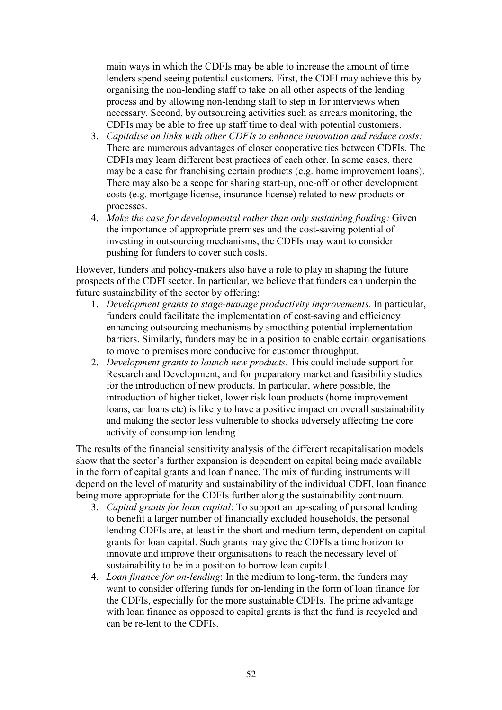main ways in which the CDFIs may be able to increase the amount of time lenders spend seeing potential customers. First, the CDFI may achieve this by organising the non-lending staff to take on all other aspects of the lending process and by allowing non-lending staff to step in for interviews when necessary. Second, by outsourcing activities such as arrears monitoring, the CDFIs may be able to free up staff time to deal with potential customers.

- 3. Capitalise on links with other CDFIs to enhance innovation and reduce costs: There are numerous advantages of closer cooperative ties between CDFIs. The CDFIs may learn different best practices of each other. In some cases, there may be a case for franchising certain products (e.g. home improvement loans). There may also be a scope for sharing start-up, one-off or other development costs (e.g. mortgage license, insurance license) related to new products or processes.
- 4. Make the case for developmental rather than only sustaining funding: Given the importance of appropriate premises and the cost-saving potential of investing in outsourcing mechanisms, the CDFIs may want to consider pushing for funders to cover such costs.

However, funders and policy-makers also have a role to play in shaping the future prospects of the CDFI sector. In particular, we believe that funders can underpin the future sustainability of the sector by offering:

- 1. Development grants to stage-manage productivity improvements. In particular, funders could facilitate the implementation of cost-saving and efficiency enhancing outsourcing mechanisms by smoothing potential implementation barriers. Similarly, funders may be in a position to enable certain organisations to move to premises more conducive for customer throughput.
- 2. Development grants to launch new products. This could include support for Research and Development, and for preparatory market and feasibility studies for the introduction of new products. In particular, where possible, the introduction of higher ticket, lower risk loan products (home improvement loans, car loans etc) is likely to have a positive impact on overall sustainability and making the sector less vulnerable to shocks adversely affecting the core activity of consumption lending

The results of the financial sensitivity analysis of the different recapitalisation models show that the sector's further expansion is dependent on capital being made available in the form of capital grants and loan finance. The mix of funding instruments will depend on the level of maturity and sustainability of the individual CDFI, loan finance being more appropriate for the CDFIs further along the sustainability continuum.

- 3. Capital grants for loan capital: To support an up-scaling of personal lending to benefit a larger number of financially excluded households, the personal lending CDFIs are, at least in the short and medium term, dependent on capital grants for loan capital. Such grants may give the CDFIs a time horizon to innovate and improve their organisations to reach the necessary level of sustainability to be in a position to borrow loan capital.
- 4. *Loan finance for on-lending*: In the medium to long-term, the funders may want to consider offering funds for on-lending in the form of loan finance for the CDFIs, especially for the more sustainable CDFIs. The prime advantage with loan finance as opposed to capital grants is that the fund is recycled and can be re-lent to the CDFIs.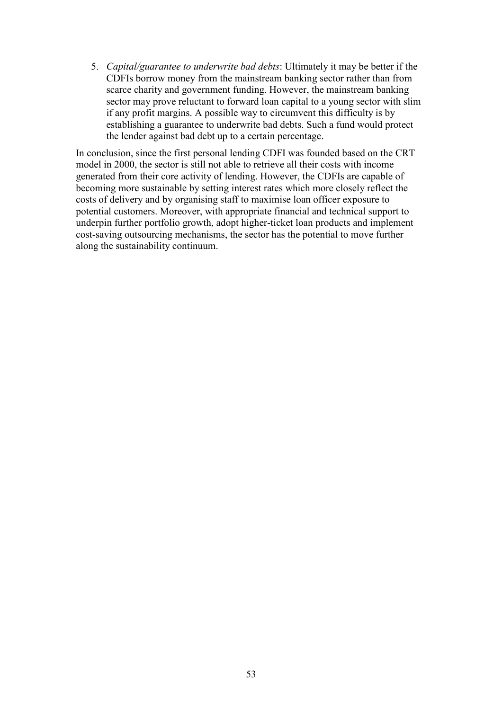5. Capital/guarantee to underwrite bad debts: Ultimately it may be better if the CDFIs borrow money from the mainstream banking sector rather than from scarce charity and government funding. However, the mainstream banking sector may prove reluctant to forward loan capital to a young sector with slim if any profit margins. A possible way to circumvent this difficulty is by establishing a guarantee to underwrite bad debts. Such a fund would protect the lender against bad debt up to a certain percentage.

In conclusion, since the first personal lending CDFI was founded based on the CRT model in 2000, the sector is still not able to retrieve all their costs with income generated from their core activity of lending. However, the CDFIs are capable of becoming more sustainable by setting interest rates which more closely reflect the costs of delivery and by organising staff to maximise loan officer exposure to potential customers. Moreover, with appropriate financial and technical support to underpin further portfolio growth, adopt higher-ticket loan products and implement cost-saving outsourcing mechanisms, the sector has the potential to move further along the sustainability continuum.